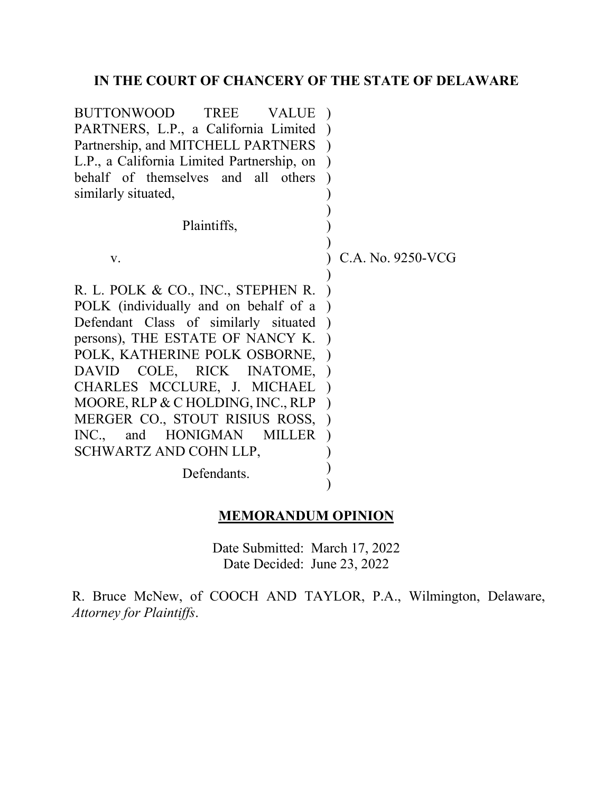# **IN THE COURT OF CHANCERY OF THE STATE OF DELAWARE**

| BUTTONWOOD<br>TREE<br><b>VALUE</b>         |                   |
|--------------------------------------------|-------------------|
| PARTNERS, L.P., a California Limited       |                   |
| Partnership, and MITCHELL PARTNERS         |                   |
| L.P., a California Limited Partnership, on |                   |
| behalf of themselves and all others        |                   |
| similarly situated,                        |                   |
|                                            |                   |
| Plaintiffs,                                |                   |
|                                            |                   |
| V.                                         | C.A. No. 9250-VCG |
|                                            |                   |
| R. L. POLK & CO., INC., STEPHEN R.         |                   |
| POLK (individually and on behalf of a      |                   |
| Defendant Class of similarly situated      |                   |
| persons), THE ESTATE OF NANCY K.           |                   |
| POLK, KATHERINE POLK OSBORNE,              |                   |
| DAVID COLE, RICK INATOME,                  |                   |
| CHARLES MCCLURE, J. MICHAEL                |                   |
| MOORE, RLP & C HOLDING, INC., RLP          |                   |
| MERGER CO., STOUT RISIUS ROSS,             |                   |
| INC.,<br>and HONIGMAN MILLER               |                   |
| SCHWARTZ AND COHN LLP,                     |                   |
| Defendants.                                |                   |
|                                            |                   |

## **MEMORANDUM OPINION**

Date Submitted: March 17, 2022 Date Decided: June 23, 2022

R. Bruce McNew, of COOCH AND TAYLOR, P.A., Wilmington, Delaware, *Attorney for Plaintiffs*.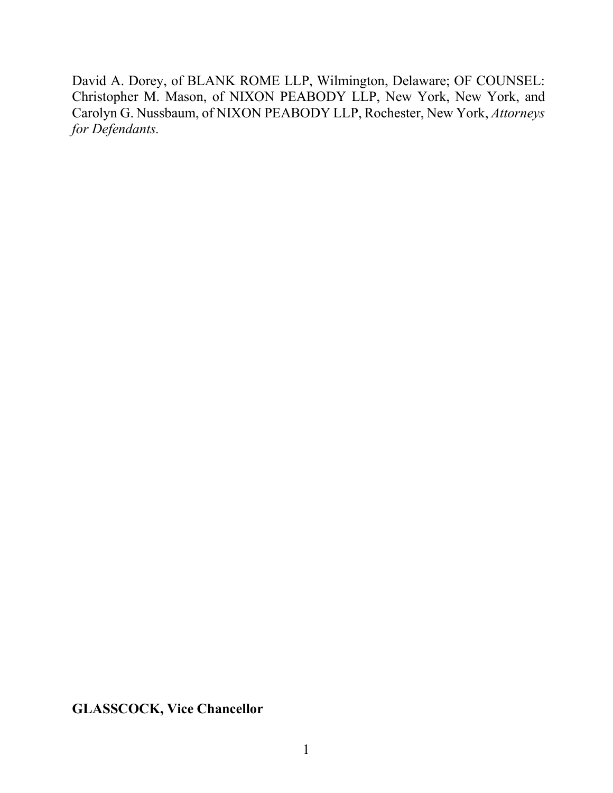David A. Dorey, of BLANK ROME LLP, Wilmington, Delaware; OF COUNSEL: Christopher M. Mason, of NIXON PEABODY LLP, New York, New York, and Carolyn G. Nussbaum, of NIXON PEABODY LLP, Rochester, New York, *Attorneys for Defendants.*

**GLASSCOCK, Vice Chancellor**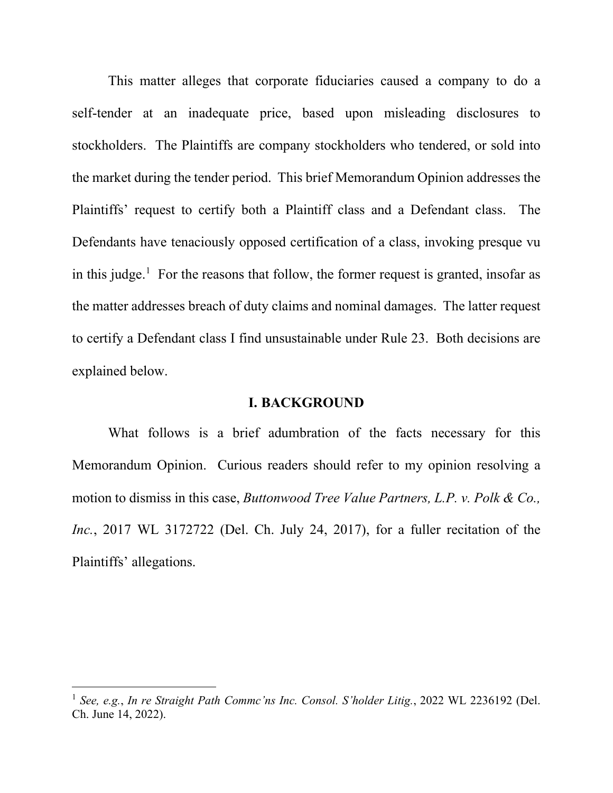This matter alleges that corporate fiduciaries caused a company to do a self-tender at an inadequate price, based upon misleading disclosures to stockholders. The Plaintiffs are company stockholders who tendered, or sold into the market during the tender period. This brief Memorandum Opinion addresses the Plaintiffs' request to certify both a Plaintiff class and a Defendant class. The Defendants have tenaciously opposed certification of a class, invoking presque vu in this judge.<sup>1</sup> For the reasons that follow, the former request is granted, insofar as the matter addresses breach of duty claims and nominal damages. The latter request to certify a Defendant class I find unsustainable under Rule 23. Both decisions are explained below.

#### **I. BACKGROUND**

What follows is a brief adumbration of the facts necessary for this Memorandum Opinion. Curious readers should refer to my opinion resolving a motion to dismiss in this case, *Buttonwood Tree Value Partners, L.P. v. Polk & Co., Inc.*, 2017 WL 3172722 (Del. Ch. July 24, 2017), for a fuller recitation of the Plaintiffs' allegations.

<sup>1</sup> *See, e.g.*, *In re Straight Path Commc'ns Inc. Consol. S'holder Litig.*, 2022 WL 2236192 (Del. Ch. June 14, 2022).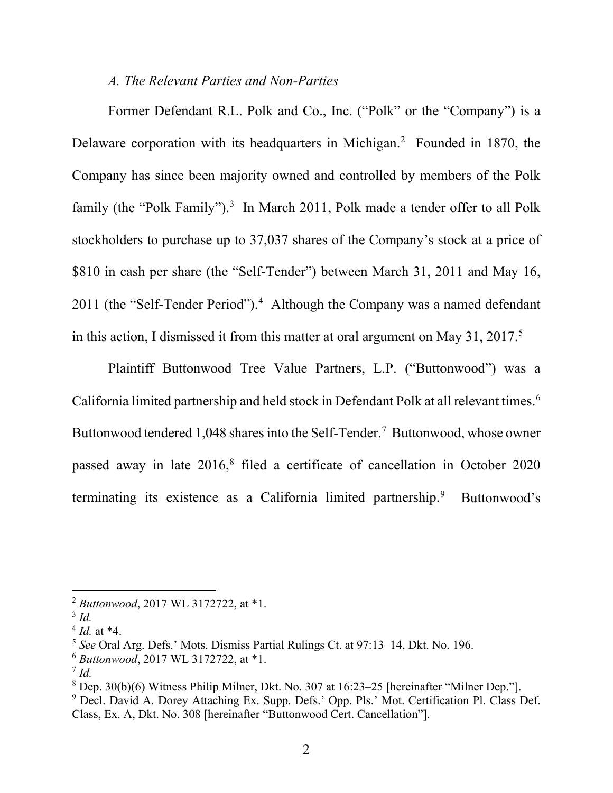## *A. The Relevant Parties and Non-Parties*

Former Defendant R.L. Polk and Co., Inc. ("Polk" or the "Company") is a Delaware corporation with its headquarters in Michigan.<sup>2</sup> Founded in 1870, the Company has since been majority owned and controlled by members of the Polk family (the "Polk Family").<sup>3</sup> In March 2011, Polk made a tender offer to all Polk stockholders to purchase up to 37,037 shares of the Company's stock at a price of \$810 in cash per share (the "Self-Tender") between March 31, 2011 and May 16, 2011 (the "Self-Tender Period").<sup>4</sup> Although the Company was a named defendant in this action, I dismissed it from this matter at oral argument on May 31, 2017.5

Plaintiff Buttonwood Tree Value Partners, L.P. ("Buttonwood") was a California limited partnership and held stock in Defendant Polk at all relevant times.<sup>6</sup> Buttonwood tendered 1,048 shares into the Self-Tender.<sup>7</sup> Buttonwood, whose owner passed away in late  $2016$ ,<sup>8</sup> filed a certificate of cancellation in October 2020 terminating its existence as a California limited partnership.<sup>9</sup> Buttonwood's

<sup>2</sup> *Buttonwood*, 2017 WL 3172722, at \*1.

<sup>3</sup> *Id.*

 $^{4}$  *Id.* at  $*4$ .

<sup>5</sup> *See* Oral Arg. Defs.' Mots. Dismiss Partial Rulings Ct. at 97:13–14, Dkt. No. 196.

<sup>6</sup> *Buttonwood*, 2017 WL 3172722, at \*1.

 $^7$  *Id.* 

<sup>8</sup> Dep. 30(b)(6) Witness Philip Milner, Dkt. No. 307 at 16:23–25 [hereinafter "Milner Dep."].

<sup>&</sup>lt;sup>9</sup> Decl. David A. Dorey Attaching Ex. Supp. Defs.' Opp. Pls.' Mot. Certification Pl. Class Def. Class, Ex. A, Dkt. No. 308 [hereinafter "Buttonwood Cert. Cancellation"].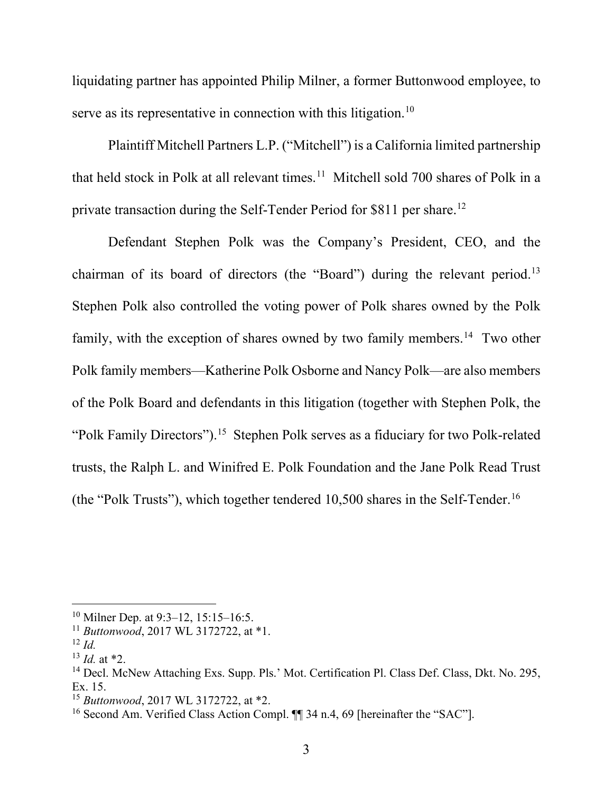liquidating partner has appointed Philip Milner, a former Buttonwood employee, to serve as its representative in connection with this litigation.<sup>10</sup>

Plaintiff Mitchell Partners L.P. ("Mitchell") is a California limited partnership that held stock in Polk at all relevant times.<sup>11</sup> Mitchell sold 700 shares of Polk in a private transaction during the Self-Tender Period for \$811 per share.<sup>12</sup>

Defendant Stephen Polk was the Company's President, CEO, and the chairman of its board of directors (the "Board") during the relevant period.<sup>13</sup> Stephen Polk also controlled the voting power of Polk shares owned by the Polk family, with the exception of shares owned by two family members.<sup>14</sup> Two other Polk family members—Katherine Polk Osborne and Nancy Polk—are also members of the Polk Board and defendants in this litigation (together with Stephen Polk, the "Polk Family Directors").<sup>15</sup> Stephen Polk serves as a fiduciary for two Polk-related trusts, the Ralph L. and Winifred E. Polk Foundation and the Jane Polk Read Trust (the "Polk Trusts"), which together tendered 10,500 shares in the Self-Tender.<sup>16</sup>

<sup>&</sup>lt;sup>10</sup> Milner Dep. at 9:3–12, 15:15–16:5.

<sup>11</sup> *Buttonwood*, 2017 WL 3172722, at \*1.

<sup>12</sup> *Id.*

 $13$  *Id.* at  $*2$ .

<sup>&</sup>lt;sup>14</sup> Decl. McNew Attaching Exs. Supp. Pls.' Mot. Certification Pl. Class Def. Class, Dkt. No. 295, Ex. 15.

<sup>15</sup> *Buttonwood*, 2017 WL 3172722, at \*2.

<sup>&</sup>lt;sup>16</sup> Second Am. Verified Class Action Compl. ¶¶ 34 n.4, 69 [hereinafter the "SAC"].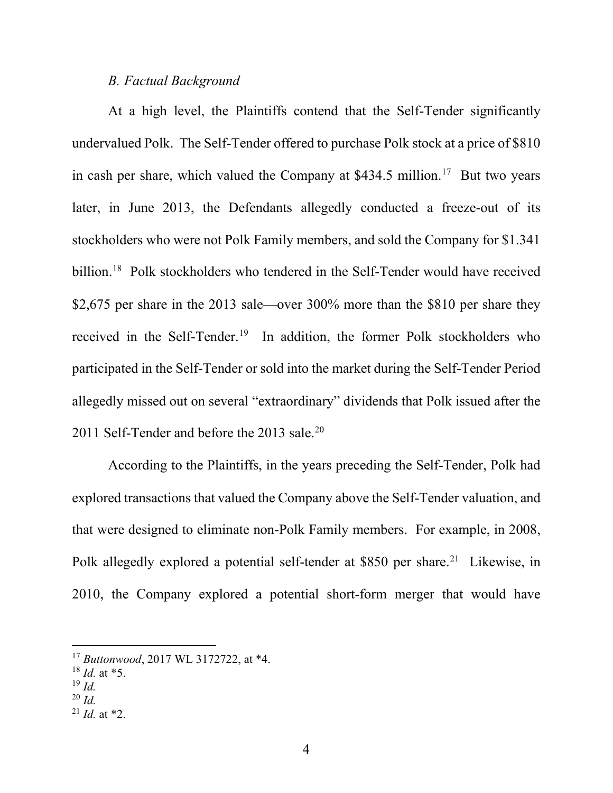# *B. Factual Background*

At a high level, the Plaintiffs contend that the Self-Tender significantly undervalued Polk. The Self-Tender offered to purchase Polk stock at a price of \$810 in cash per share, which valued the Company at  $$434.5$  million.<sup>17</sup> But two years later, in June 2013, the Defendants allegedly conducted a freeze-out of its stockholders who were not Polk Family members, and sold the Company for \$1.341 billion.<sup>18</sup> Polk stockholders who tendered in the Self-Tender would have received \$2,675 per share in the 2013 sale—over 300% more than the \$810 per share they received in the Self-Tender.<sup>19</sup> In addition, the former Polk stockholders who participated in the Self-Tender or sold into the market during the Self-Tender Period allegedly missed out on several "extraordinary" dividends that Polk issued after the 2011 Self-Tender and before the 2013 sale.<sup>20</sup>

According to the Plaintiffs, in the years preceding the Self-Tender, Polk had explored transactions that valued the Company above the Self-Tender valuation, and that were designed to eliminate non-Polk Family members. For example, in 2008, Polk allegedly explored a potential self-tender at \$850 per share.<sup>21</sup> Likewise, in 2010, the Company explored a potential short-form merger that would have

- <sup>18</sup> *Id.* at \*5.
- <sup>19</sup> *Id.*
- <sup>20</sup> *Id.*
- $^{21}$  *Id.* at \*2.

<sup>17</sup> *Buttonwood*, 2017 WL 3172722, at \*4.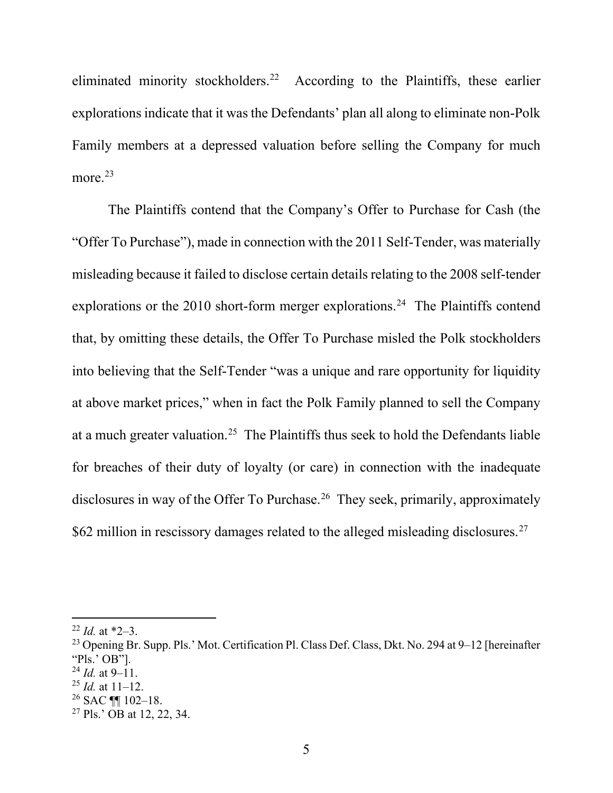eliminated minority stockholders.<sup>22</sup> According to the Plaintiffs, these earlier explorations indicate that it was the Defendants' plan all along to eliminate non-Polk Family members at a depressed valuation before selling the Company for much more. 23

The Plaintiffs contend that the Company's Offer to Purchase for Cash (the "Offer To Purchase"), made in connection with the 2011 Self-Tender, was materially misleading because it failed to disclose certain details relating to the 2008 self-tender explorations or the 2010 short-form merger explorations.<sup>24</sup> The Plaintiffs contend that, by omitting these details, the Offer To Purchase misled the Polk stockholders into believing that the Self-Tender "was a unique and rare opportunity for liquidity at above market prices," when in fact the Polk Family planned to sell the Company at a much greater valuation.25 The Plaintiffs thus seek to hold the Defendants liable for breaches of their duty of loyalty (or care) in connection with the inadequate disclosures in way of the Offer To Purchase.<sup>26</sup> They seek, primarily, approximately \$62 million in rescissory damages related to the alleged misleading disclosures.<sup>27</sup>

<sup>22</sup> *Id.* at \*2–3.

<sup>&</sup>lt;sup>23</sup> Opening Br. Supp. Pls.' Mot. Certification Pl. Class Def. Class, Dkt. No. 294 at 9–12 [hereinafter] "Pls.' OB"].

 $^{24}$  *Id.* at 9–11.

<sup>25</sup> *Id.* at 11–12.

<sup>26</sup> SAC ¶¶ 102–18.

<sup>27</sup> Pls.' OB at 12, 22, 34.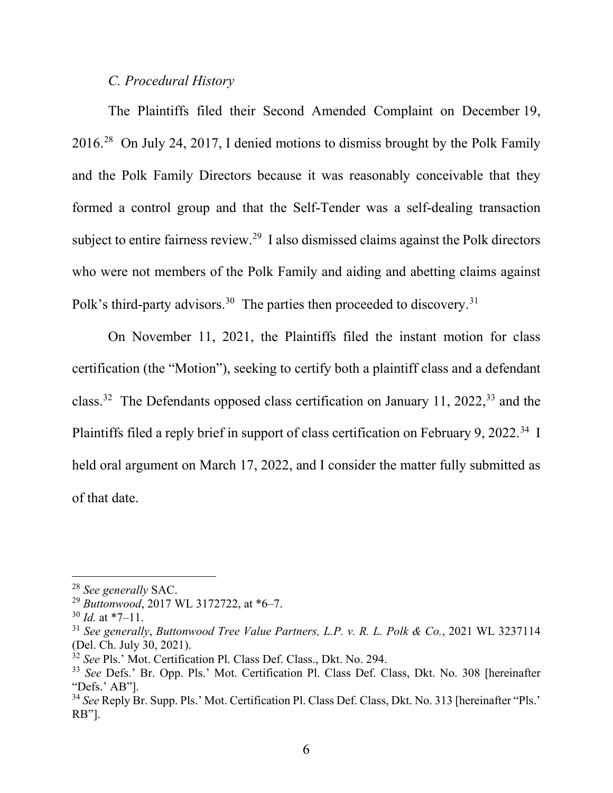## *C. Procedural History*

The Plaintiffs filed their Second Amended Complaint on December 19, 2016.28 On July 24, 2017, I denied motions to dismiss brought by the Polk Family and the Polk Family Directors because it was reasonably conceivable that they formed a control group and that the Self-Tender was a self-dealing transaction subject to entire fairness review.<sup>29</sup> I also dismissed claims against the Polk directors who were not members of the Polk Family and aiding and abetting claims against Polk's third-party advisors.<sup>30</sup> The parties then proceeded to discovery.<sup>31</sup>

On November 11, 2021, the Plaintiffs filed the instant motion for class certification (the "Motion"), seeking to certify both a plaintiff class and a defendant class.<sup>32</sup> The Defendants opposed class certification on January 11, 2022,<sup>33</sup> and the Plaintiffs filed a reply brief in support of class certification on February 9, 2022.<sup>34</sup> I held oral argument on March 17, 2022, and I consider the matter fully submitted as of that date.

<sup>28</sup> *See generally* SAC.

<sup>29</sup> *Buttonwood*, 2017 WL 3172722, at \*6–7.

<sup>30</sup> *Id.* at \*7–11.

<sup>31</sup> *See generally*, *Buttonwood Tree Value Partners, L.P. v. R. L. Polk & Co.*, 2021 WL 3237114 (Del. Ch. July 30, 2021).

<sup>&</sup>lt;sup>32</sup> See Pls.' Mot. Certification Pl. Class Def. Class., Dkt. No. 294.

<sup>33</sup> *See* Defs.' Br. Opp. Pls.' Mot. Certification Pl. Class Def. Class, Dkt. No. 308 [hereinafter "Defs.' AB"].

<sup>34</sup> *See* Reply Br. Supp. Pls.' Mot. Certification Pl. Class Def. Class, Dkt. No. 313 [hereinafter "Pls.' RB"].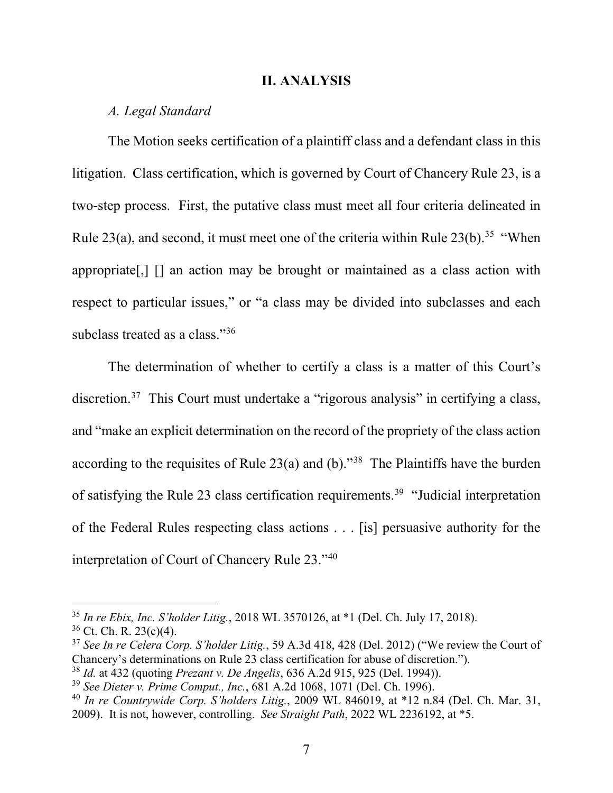#### **II. ANALYSIS**

## *A. Legal Standard*

The Motion seeks certification of a plaintiff class and a defendant class in this litigation. Class certification, which is governed by Court of Chancery Rule 23, is a two-step process. First, the putative class must meet all four criteria delineated in Rule 23(a), and second, it must meet one of the criteria within Rule  $23(b)$ .<sup>35</sup> "When appropriate[,] [] an action may be brought or maintained as a class action with respect to particular issues," or "a class may be divided into subclasses and each subclass treated as a class."<sup>36</sup>

The determination of whether to certify a class is a matter of this Court's discretion.37 This Court must undertake a "rigorous analysis" in certifying a class, and "make an explicit determination on the record of the propriety of the class action according to the requisites of Rule  $23(a)$  and (b).<sup>38</sup> The Plaintiffs have the burden of satisfying the Rule 23 class certification requirements.<sup>39</sup> "Judicial interpretation of the Federal Rules respecting class actions . . . [is] persuasive authority for the interpretation of Court of Chancery Rule 23."40

<sup>35</sup> *In re Ebix, Inc. S'holder Litig.*, 2018 WL 3570126, at \*1 (Del. Ch. July 17, 2018).

 $36$  Ct. Ch. R. 23(c)(4).

<sup>37</sup> *See In re Celera Corp. S'holder Litig.*, 59 A.3d 418, 428 (Del. 2012) ("We review the Court of Chancery's determinations on Rule 23 class certification for abuse of discretion.").

<sup>38</sup> *Id.* at 432 (quoting *Prezant v. De Angelis*, 636 A.2d 915, 925 (Del. 1994)).

<sup>39</sup> *See Dieter v. Prime Comput., Inc.*, 681 A.2d 1068, 1071 (Del. Ch. 1996).

<sup>40</sup> *In re Countrywide Corp. S'holders Litig.*, 2009 WL 846019, at \*12 n.84 (Del. Ch. Mar. 31, 2009). It is not, however, controlling. *See Straight Path*, 2022 WL 2236192, at \*5.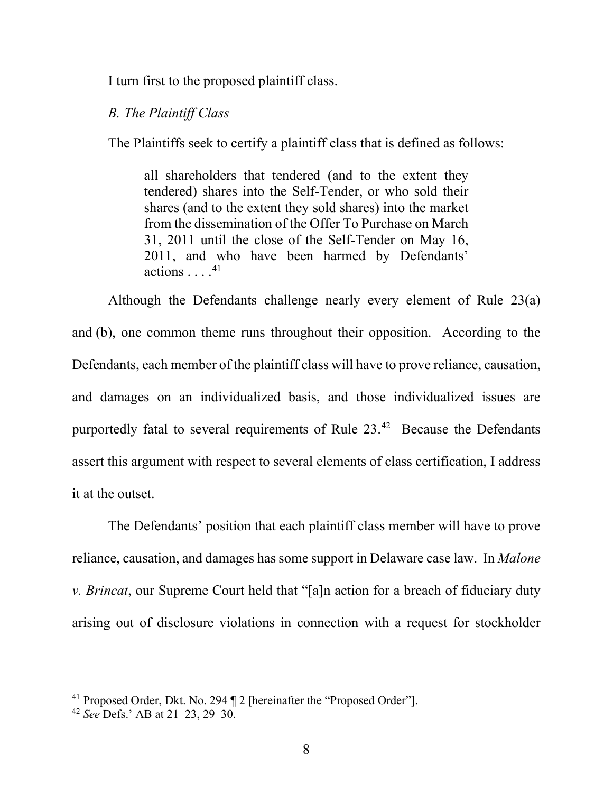I turn first to the proposed plaintiff class.

#### *B. The Plaintiff Class*

The Plaintiffs seek to certify a plaintiff class that is defined as follows:

all shareholders that tendered (and to the extent they tendered) shares into the Self-Tender, or who sold their shares (and to the extent they sold shares) into the market from the dissemination of the Offer To Purchase on March 31, 2011 until the close of the Self-Tender on May 16, 2011, and who have been harmed by Defendants' actions . . . . 41

Although the Defendants challenge nearly every element of Rule 23(a) and (b), one common theme runs throughout their opposition. According to the Defendants, each member of the plaintiff class will have to prove reliance, causation, and damages on an individualized basis, and those individualized issues are purportedly fatal to several requirements of Rule  $23.^{42}$  Because the Defendants assert this argument with respect to several elements of class certification, I address it at the outset.

The Defendants' position that each plaintiff class member will have to prove reliance, causation, and damages has some support in Delaware case law. In *Malone v. Brincat*, our Supreme Court held that "[a]n action for a breach of fiduciary duty arising out of disclosure violations in connection with a request for stockholder

<sup>41</sup> Proposed Order, Dkt. No. 294 ¶ 2 [hereinafter the "Proposed Order"].

<sup>42</sup> *See* Defs.' AB at 21–23, 29–30.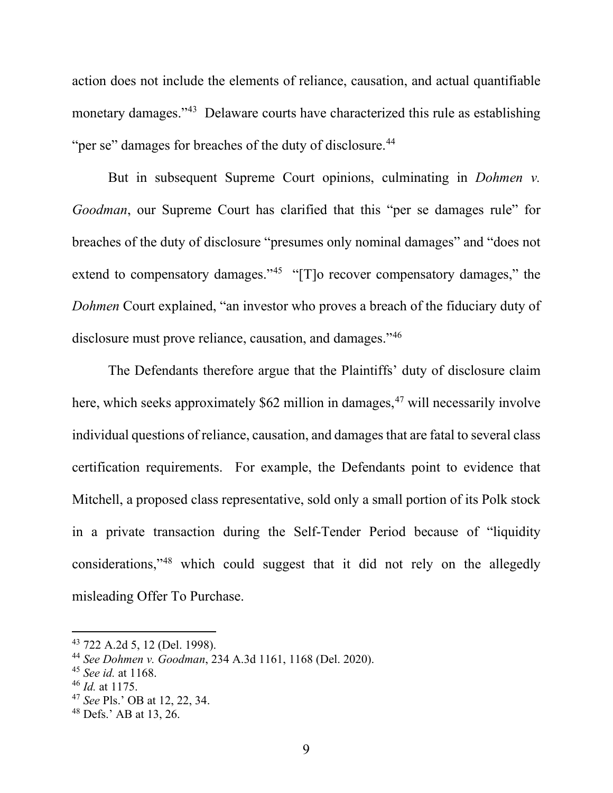action does not include the elements of reliance, causation, and actual quantifiable monetary damages."43 Delaware courts have characterized this rule as establishing "per se" damages for breaches of the duty of disclosure.<sup>44</sup>

But in subsequent Supreme Court opinions, culminating in *Dohmen v. Goodman*, our Supreme Court has clarified that this "per se damages rule" for breaches of the duty of disclosure "presumes only nominal damages" and "does not extend to compensatory damages." $45$  "[T]o recover compensatory damages," the *Dohmen* Court explained, "an investor who proves a breach of the fiduciary duty of disclosure must prove reliance, causation, and damages."46

The Defendants therefore argue that the Plaintiffs' duty of disclosure claim here, which seeks approximately  $$62$  million in damages,<sup>47</sup> will necessarily involve individual questions of reliance, causation, and damages that are fatal to several class certification requirements. For example, the Defendants point to evidence that Mitchell, a proposed class representative, sold only a small portion of its Polk stock in a private transaction during the Self-Tender Period because of "liquidity considerations,"48 which could suggest that it did not rely on the allegedly misleading Offer To Purchase.

<sup>43</sup> 722 A.2d 5, 12 (Del. 1998).

<sup>44</sup> *See Dohmen v. Goodman*, 234 A.3d 1161, 1168 (Del. 2020).

<sup>45</sup> *See id.* at 1168.

<sup>46</sup> *Id.* at 1175.

<sup>47</sup> *See* Pls.' OB at 12, 22, 34.

<sup>48</sup> Defs.' AB at 13, 26.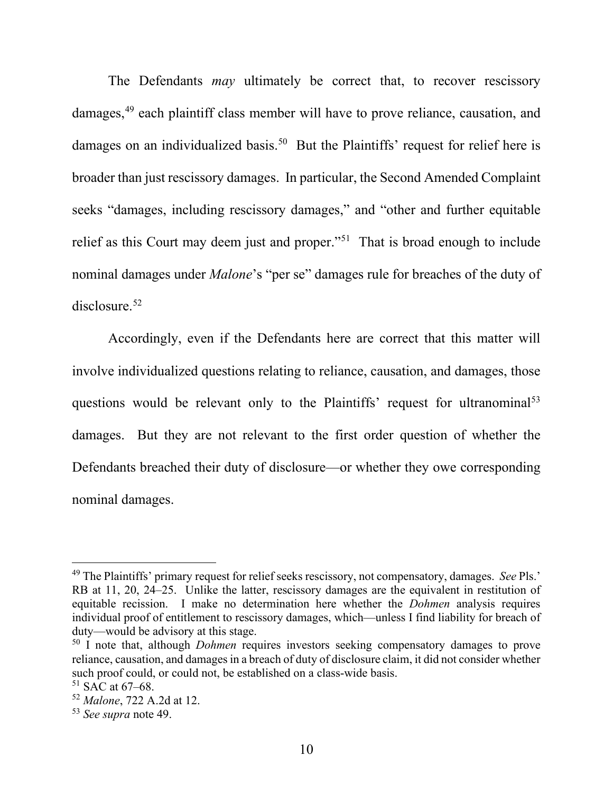The Defendants *may* ultimately be correct that, to recover rescissory damages,<sup>49</sup> each plaintiff class member will have to prove reliance, causation, and damages on an individualized basis.<sup>50</sup> But the Plaintiffs' request for relief here is broader than just rescissory damages. In particular, the Second Amended Complaint seeks "damages, including rescissory damages," and "other and further equitable relief as this Court may deem just and proper."51 That is broad enough to include nominal damages under *Malone*'s "per se" damages rule for breaches of the duty of disclosure.52

Accordingly, even if the Defendants here are correct that this matter will involve individualized questions relating to reliance, causation, and damages, those questions would be relevant only to the Plaintiffs' request for ultranominal<sup>53</sup> damages. But they are not relevant to the first order question of whether the Defendants breached their duty of disclosure—or whether they owe corresponding nominal damages.

<sup>49</sup> The Plaintiffs' primary request for relief seeks rescissory, not compensatory, damages. *See* Pls.' RB at 11, 20, 24–25. Unlike the latter, rescissory damages are the equivalent in restitution of equitable recission. I make no determination here whether the *Dohmen* analysis requires individual proof of entitlement to rescissory damages, which—unless I find liability for breach of duty—would be advisory at this stage.

<sup>&</sup>lt;sup>50</sup> I note that, although *Dohmen* requires investors seeking compensatory damages to prove reliance, causation, and damages in a breach of duty of disclosure claim, it did not consider whether such proof could, or could not, be established on a class-wide basis.

 $51$  SAC at 67–68.

<sup>52</sup> *Malone*, 722 A.2d at 12.

<sup>53</sup> *See supra* note 49.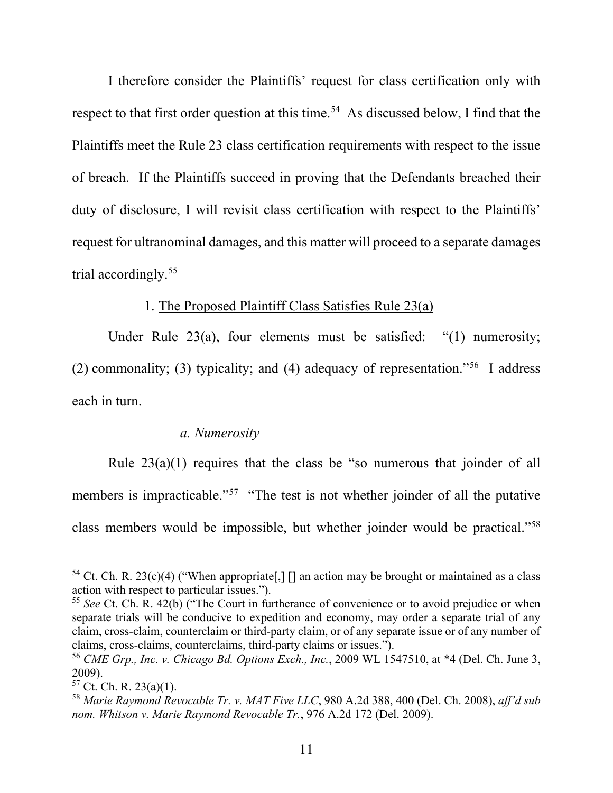I therefore consider the Plaintiffs' request for class certification only with respect to that first order question at this time.<sup>54</sup> As discussed below, I find that the Plaintiffs meet the Rule 23 class certification requirements with respect to the issue of breach. If the Plaintiffs succeed in proving that the Defendants breached their duty of disclosure, I will revisit class certification with respect to the Plaintiffs' request for ultranominal damages, and this matter will proceed to a separate damages trial accordingly.55

## 1. The Proposed Plaintiff Class Satisfies Rule 23(a)

Under Rule 23(a), four elements must be satisfied: "(1) numerosity; (2) commonality; (3) typicality; and (4) adequacy of representation."<sup>56</sup> I address each in turn.

## *a. Numerosity*

Rule  $23(a)(1)$  requires that the class be "so numerous that joinder of all members is impracticable."<sup>57</sup> "The test is not whether joinder of all the putative class members would be impossible, but whether joinder would be practical."58

<sup>&</sup>lt;sup>54</sup> Ct. Ch. R. 23(c)(4) ("When appropriate[,] [] an action may be brought or maintained as a class action with respect to particular issues.").

<sup>55</sup> *See* Ct. Ch. R. 42(b) ("The Court in furtherance of convenience or to avoid prejudice or when separate trials will be conducive to expedition and economy, may order a separate trial of any claim, cross-claim, counterclaim or third-party claim, or of any separate issue or of any number of claims, cross-claims, counterclaims, third-party claims or issues.").

<sup>56</sup> *CME Grp., Inc. v. Chicago Bd. Options Exch., Inc.*, 2009 WL 1547510, at \*4 (Del. Ch. June 3, 2009).

 $57$  Ct. Ch. R. 23(a)(1).

<sup>58</sup> *Marie Raymond Revocable Tr. v. MAT Five LLC*, 980 A.2d 388, 400 (Del. Ch. 2008), *aff'd sub nom. Whitson v. Marie Raymond Revocable Tr.*, 976 A.2d 172 (Del. 2009).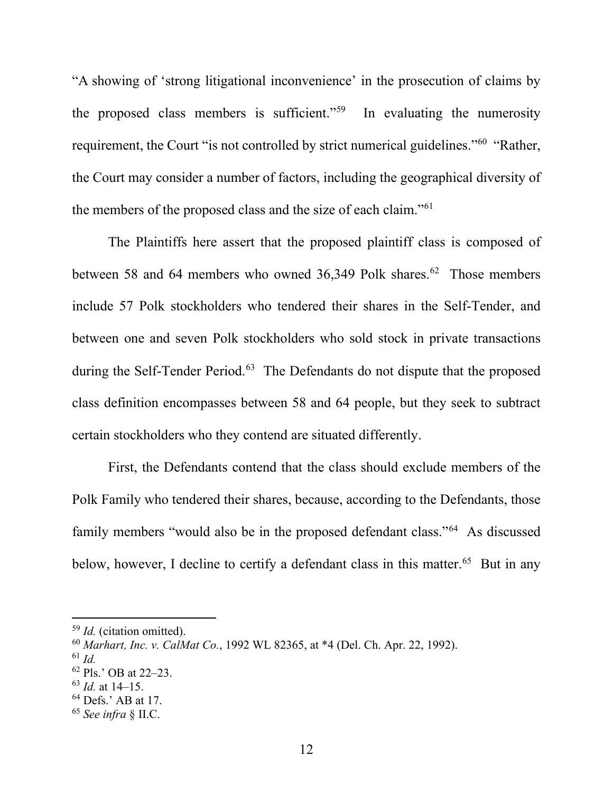"A showing of 'strong litigational inconvenience' in the prosecution of claims by the proposed class members is sufficient."59 In evaluating the numerosity requirement, the Court "is not controlled by strict numerical guidelines."60 "Rather, the Court may consider a number of factors, including the geographical diversity of the members of the proposed class and the size of each claim."61

The Plaintiffs here assert that the proposed plaintiff class is composed of between 58 and 64 members who owned 36,349 Polk shares.<sup>62</sup> Those members include 57 Polk stockholders who tendered their shares in the Self-Tender, and between one and seven Polk stockholders who sold stock in private transactions during the Self-Tender Period.<sup>63</sup> The Defendants do not dispute that the proposed class definition encompasses between 58 and 64 people, but they seek to subtract certain stockholders who they contend are situated differently.

First, the Defendants contend that the class should exclude members of the Polk Family who tendered their shares, because, according to the Defendants, those family members "would also be in the proposed defendant class."64 As discussed below, however, I decline to certify a defendant class in this matter.<sup>65</sup> But in any

<sup>59</sup> *Id.* (citation omitted).

<sup>60</sup> *Marhart, Inc. v. CalMat Co.*, 1992 WL 82365, at \*4 (Del. Ch. Apr. 22, 1992).

<sup>61</sup> *Id.*

<sup>62</sup> Pls.' OB at 22–23.

<sup>63</sup> *Id.* at 14–15.

<sup>&</sup>lt;sup>64</sup> Defs.' AB at 17.

<sup>65</sup> *See infra* § II.C.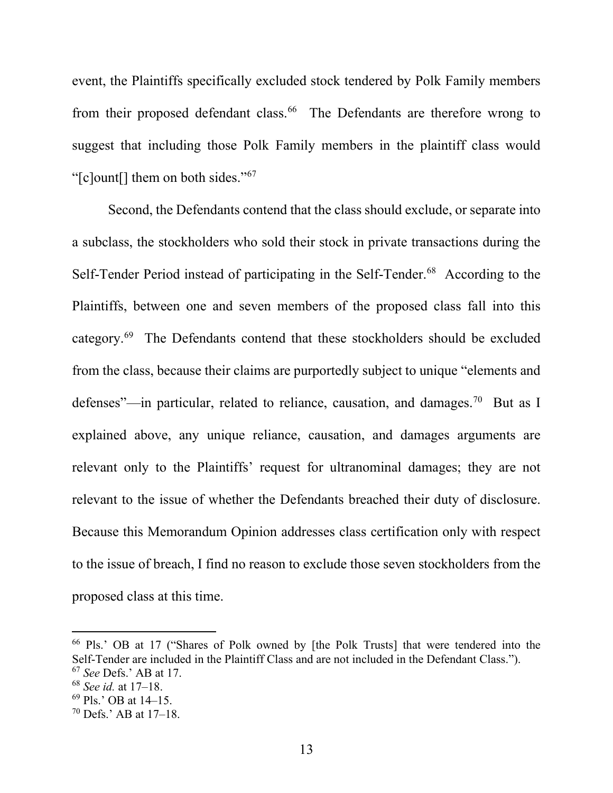event, the Plaintiffs specifically excluded stock tendered by Polk Family members from their proposed defendant class.<sup>66</sup> The Defendants are therefore wrong to suggest that including those Polk Family members in the plaintiff class would "[c]ount[] them on both sides."67

Second, the Defendants contend that the class should exclude, or separate into a subclass, the stockholders who sold their stock in private transactions during the Self-Tender Period instead of participating in the Self-Tender.<sup>68</sup> According to the Plaintiffs, between one and seven members of the proposed class fall into this category.69 The Defendants contend that these stockholders should be excluded from the class, because their claims are purportedly subject to unique "elements and defenses"—in particular, related to reliance, causation, and damages.<sup>70</sup> But as I explained above, any unique reliance, causation, and damages arguments are relevant only to the Plaintiffs' request for ultranominal damages; they are not relevant to the issue of whether the Defendants breached their duty of disclosure. Because this Memorandum Opinion addresses class certification only with respect to the issue of breach, I find no reason to exclude those seven stockholders from the proposed class at this time.

<sup>66</sup> Pls.' OB at 17 ("Shares of Polk owned by [the Polk Trusts] that were tendered into the Self-Tender are included in the Plaintiff Class and are not included in the Defendant Class.").

<sup>67</sup> *See* Defs.' AB at 17.

<sup>68</sup> *See id.* at 17–18.

<sup>69</sup> Pls.' OB at 14–15.

<sup>70</sup> Defs.' AB at 17–18.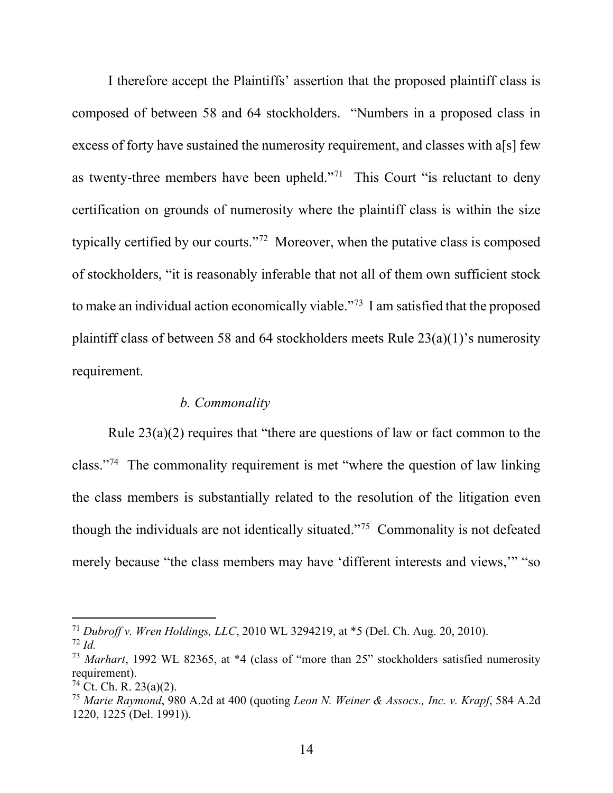I therefore accept the Plaintiffs' assertion that the proposed plaintiff class is composed of between 58 and 64 stockholders. "Numbers in a proposed class in excess of forty have sustained the numerosity requirement, and classes with a[s] few as twenty-three members have been upheld."<sup>71</sup> This Court "is reluctant to deny certification on grounds of numerosity where the plaintiff class is within the size typically certified by our courts."72 Moreover, when the putative class is composed of stockholders, "it is reasonably inferable that not all of them own sufficient stock to make an individual action economically viable."73 I am satisfied that the proposed plaintiff class of between 58 and 64 stockholders meets Rule 23(a)(1)'s numerosity requirement.

## *b. Commonality*

Rule  $23(a)(2)$  requires that "there are questions of law or fact common to the class."74 The commonality requirement is met "where the question of law linking the class members is substantially related to the resolution of the litigation even though the individuals are not identically situated."75 Commonality is not defeated merely because "the class members may have 'different interests and views,'" "so

<sup>71</sup> *Dubroff v. Wren Holdings, LLC*, 2010 WL 3294219, at \*5 (Del. Ch. Aug. 20, 2010).

<sup>72</sup> *Id.*

<sup>73</sup> *Marhart*, 1992 WL 82365, at \*4 (class of "more than 25" stockholders satisfied numerosity requirement).

<sup>&</sup>lt;sup>74</sup> Ct. Ch. R. 23(a)(2).

<sup>75</sup> *Marie Raymond*, 980 A.2d at 400 (quoting *Leon N. Weiner & Assocs., Inc. v. Krapf*, 584 A.2d 1220, 1225 (Del. 1991)).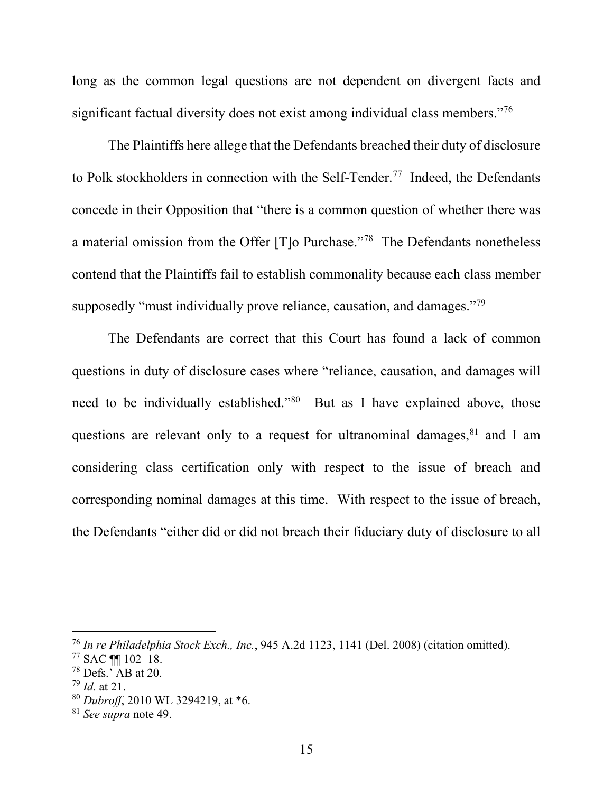long as the common legal questions are not dependent on divergent facts and significant factual diversity does not exist among individual class members."<sup>76</sup>

The Plaintiffs here allege that the Defendants breached their duty of disclosure to Polk stockholders in connection with the Self-Tender. 77 Indeed, the Defendants concede in their Opposition that "there is a common question of whether there was a material omission from the Offer [T]o Purchase."78 The Defendants nonetheless contend that the Plaintiffs fail to establish commonality because each class member supposedly "must individually prove reliance, causation, and damages."<sup>79</sup>

The Defendants are correct that this Court has found a lack of common questions in duty of disclosure cases where "reliance, causation, and damages will need to be individually established."80 But as I have explained above, those questions are relevant only to a request for ultranominal damages,  $81$  and I am considering class certification only with respect to the issue of breach and corresponding nominal damages at this time. With respect to the issue of breach, the Defendants "either did or did not breach their fiduciary duty of disclosure to all

<sup>76</sup> *In re Philadelphia Stock Exch., Inc.*, 945 A.2d 1123, 1141 (Del. 2008) (citation omitted).

 $77$  SAC  $\P\P$  102-18.

 $78$  Defs.<sup> $\overline{AB}$ </sup> at 20.

<sup>79</sup> *Id.* at 21.

<sup>80</sup> *Dubroff*, 2010 WL 3294219, at \*6.

<sup>81</sup> *See supra* note 49.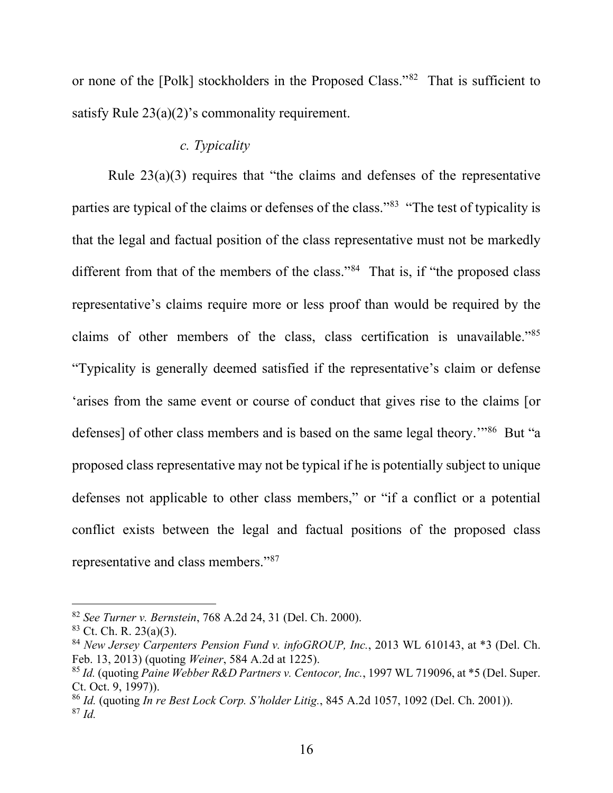or none of the [Polk] stockholders in the Proposed Class."82 That is sufficient to satisfy Rule 23(a)(2)'s commonality requirement.

# *c. Typicality*

Rule  $23(a)(3)$  requires that "the claims and defenses of the representative parties are typical of the claims or defenses of the class."83 "The test of typicality is that the legal and factual position of the class representative must not be markedly different from that of the members of the class."<sup>84</sup> That is, if "the proposed class" representative's claims require more or less proof than would be required by the claims of other members of the class, class certification is unavailable."85 "Typicality is generally deemed satisfied if the representative's claim or defense 'arises from the same event or course of conduct that gives rise to the claims [or defenses] of other class members and is based on the same legal theory."<sup>86</sup> But "a proposed class representative may not be typical if he is potentially subject to unique defenses not applicable to other class members," or "if a conflict or a potential conflict exists between the legal and factual positions of the proposed class representative and class members."87

<sup>82</sup> *See Turner v. Bernstein*, 768 A.2d 24, 31 (Del. Ch. 2000).

 $83$  Ct. Ch. R. 23(a)(3).

<sup>84</sup> *New Jersey Carpenters Pension Fund v. infoGROUP, Inc.*, 2013 WL 610143, at \*3 (Del. Ch. Feb. 13, 2013) (quoting *Weiner*, 584 A.2d at 1225).

<sup>85</sup> *Id.* (quoting *Paine Webber R&D Partners v. Centocor, Inc.*, 1997 WL 719096, at \*5 (Del. Super. Ct. Oct. 9, 1997)).

<sup>86</sup> *Id.* (quoting *In re Best Lock Corp. S'holder Litig.*, 845 A.2d 1057, 1092 (Del. Ch. 2001)). <sup>87</sup> *Id.*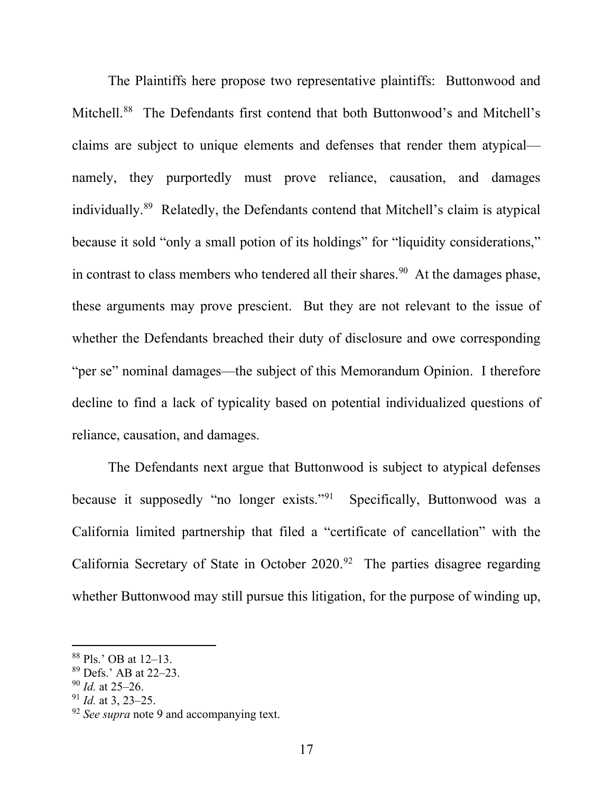The Plaintiffs here propose two representative plaintiffs: Buttonwood and Mitchell.88 The Defendants first contend that both Buttonwood's and Mitchell's claims are subject to unique elements and defenses that render them atypical namely, they purportedly must prove reliance, causation, and damages individually.89 Relatedly, the Defendants contend that Mitchell's claim is atypical because it sold "only a small potion of its holdings" for "liquidity considerations," in contrast to class members who tendered all their shares.<sup>90</sup> At the damages phase, these arguments may prove prescient. But they are not relevant to the issue of whether the Defendants breached their duty of disclosure and owe corresponding "per se" nominal damages—the subject of this Memorandum Opinion. I therefore decline to find a lack of typicality based on potential individualized questions of reliance, causation, and damages.

The Defendants next argue that Buttonwood is subject to atypical defenses because it supposedly "no longer exists."<sup>91</sup> Specifically, Buttonwood was a California limited partnership that filed a "certificate of cancellation" with the California Secretary of State in October  $2020.^{92}$  The parties disagree regarding whether Buttonwood may still pursue this litigation, for the purpose of winding up,

<sup>88</sup> Pls.' OB at 12–13.

<sup>89</sup> Defs.' AB at 22–23.

<sup>90</sup> *Id.* at 25–26.

<sup>91</sup> *Id.* at 3, 23–25.

<sup>92</sup> *See supra* note 9 and accompanying text.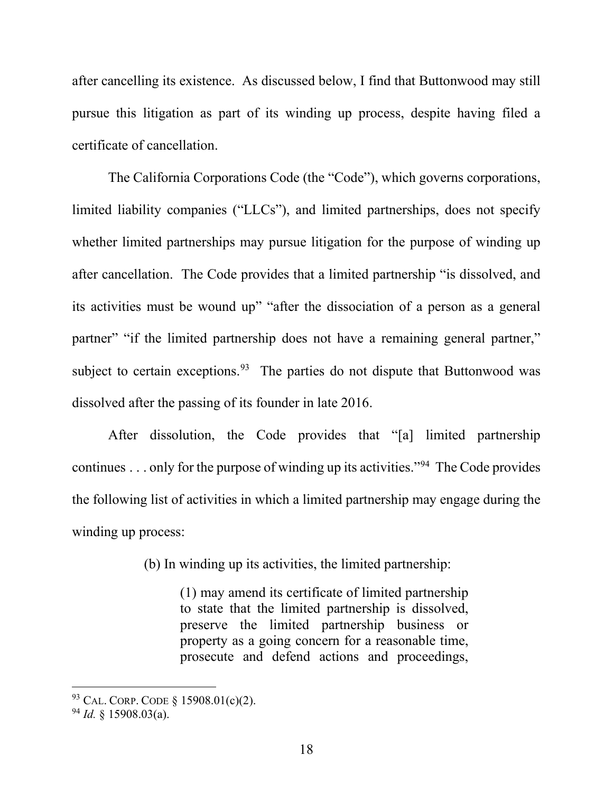after cancelling its existence. As discussed below, I find that Buttonwood may still pursue this litigation as part of its winding up process, despite having filed a certificate of cancellation.

The California Corporations Code (the "Code"), which governs corporations, limited liability companies ("LLCs"), and limited partnerships, does not specify whether limited partnerships may pursue litigation for the purpose of winding up after cancellation. The Code provides that a limited partnership "is dissolved, and its activities must be wound up" "after the dissociation of a person as a general partner" "if the limited partnership does not have a remaining general partner," subject to certain exceptions.<sup>93</sup> The parties do not dispute that Buttonwood was dissolved after the passing of its founder in late 2016.

After dissolution, the Code provides that "[a] limited partnership continues . . . only for the purpose of winding up its activities."94 The Code provides the following list of activities in which a limited partnership may engage during the winding up process:

(b) In winding up its activities, the limited partnership:

(1) may amend its certificate of limited partnership to state that the limited partnership is dissolved, preserve the limited partnership business or property as a going concern for a reasonable time, prosecute and defend actions and proceedings,

<sup>93</sup> CAL. CORP. CODE § 15908.01(c)(2).

<sup>94</sup> *Id.* § 15908.03(a).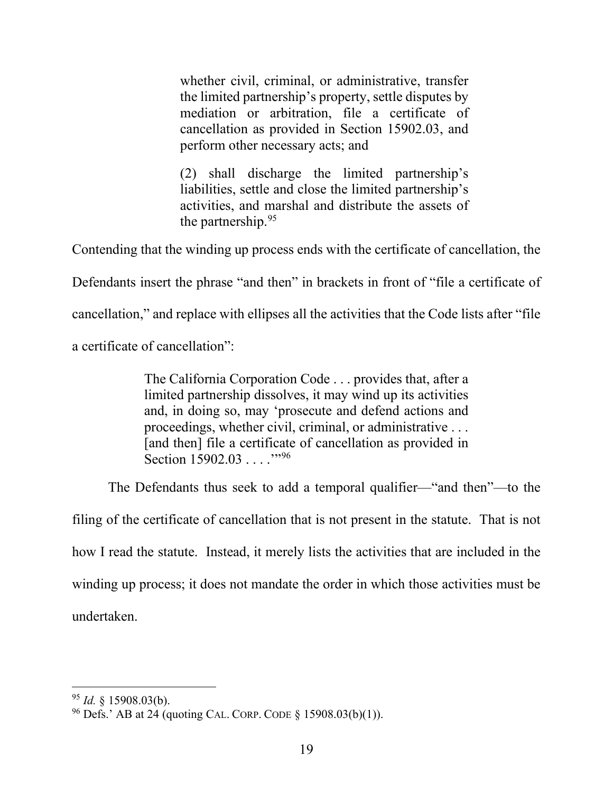whether civil, criminal, or administrative, transfer the limited partnership's property, settle disputes by mediation or arbitration, file a certificate of cancellation as provided in Section 15902.03, and perform other necessary acts; and

(2) shall discharge the limited partnership's liabilities, settle and close the limited partnership's activities, and marshal and distribute the assets of the partnership.95

Contending that the winding up process ends with the certificate of cancellation, the

Defendants insert the phrase "and then" in brackets in front of "file a certificate of

cancellation," and replace with ellipses all the activities that the Code lists after "file

a certificate of cancellation":

The California Corporation Code . . . provides that, after a limited partnership dissolves, it may wind up its activities and, in doing so, may 'prosecute and defend actions and proceedings, whether civil, criminal, or administrative . . . [and then] file a certificate of cancellation as provided in Section 15902.03 . . . . .<sup>"96</sup>

The Defendants thus seek to add a temporal qualifier—"and then"—to the

filing of the certificate of cancellation that is not present in the statute. That is not how I read the statute. Instead, it merely lists the activities that are included in the winding up process; it does not mandate the order in which those activities must be undertaken.

<sup>95</sup> *Id.* § 15908.03(b).

<sup>&</sup>lt;sup>96</sup> Defs.' AB at 24 (quoting CAL. CORP. CODE  $\S$  15908.03(b)(1)).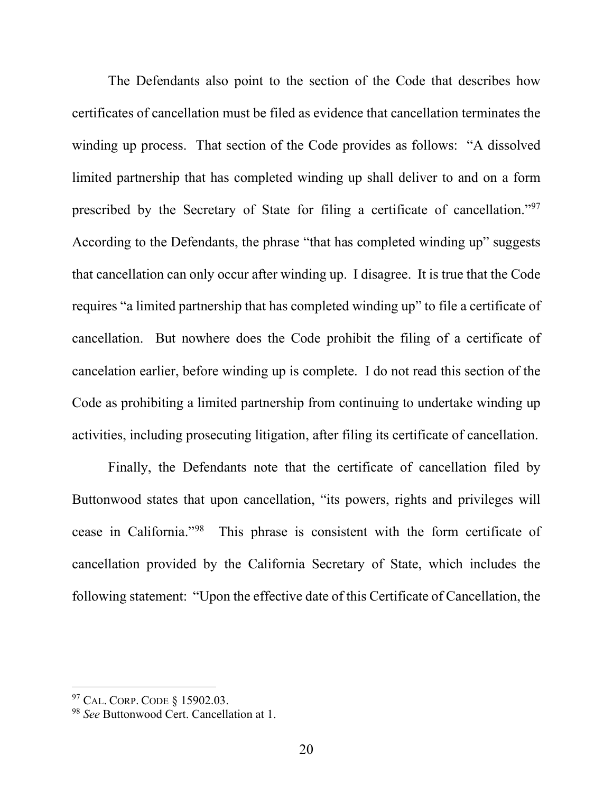The Defendants also point to the section of the Code that describes how certificates of cancellation must be filed as evidence that cancellation terminates the winding up process. That section of the Code provides as follows: "A dissolved limited partnership that has completed winding up shall deliver to and on a form prescribed by the Secretary of State for filing a certificate of cancellation."97 According to the Defendants, the phrase "that has completed winding up" suggests that cancellation can only occur after winding up. I disagree. It is true that the Code requires "a limited partnership that has completed winding up" to file a certificate of cancellation. But nowhere does the Code prohibit the filing of a certificate of cancelation earlier, before winding up is complete. I do not read this section of the Code as prohibiting a limited partnership from continuing to undertake winding up activities, including prosecuting litigation, after filing its certificate of cancellation.

Finally, the Defendants note that the certificate of cancellation filed by Buttonwood states that upon cancellation, "its powers, rights and privileges will cease in California."98 This phrase is consistent with the form certificate of cancellation provided by the California Secretary of State, which includes the following statement: "Upon the effective date of this Certificate of Cancellation, the

<sup>97</sup> CAL. CORP. CODE § 15902.03.

<sup>98</sup> *See* Buttonwood Cert. Cancellation at 1.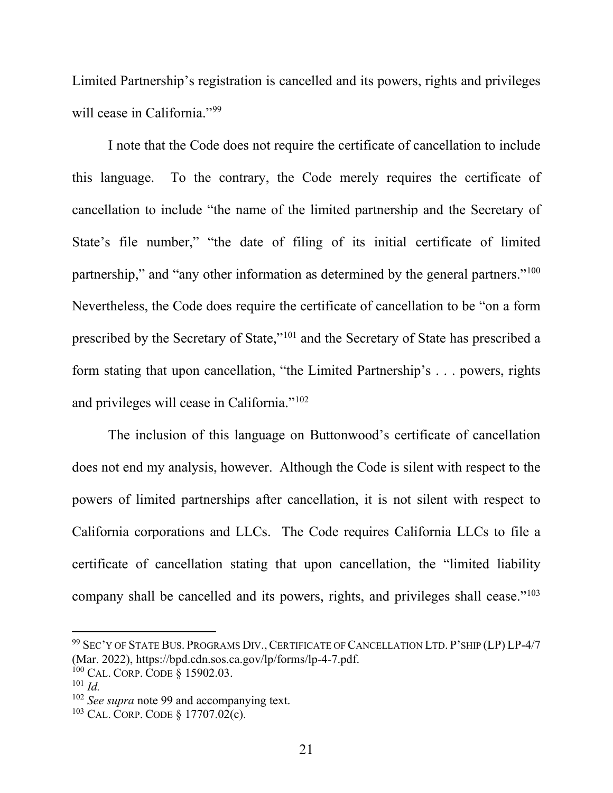Limited Partnership's registration is cancelled and its powers, rights and privileges will cease in California."<sup>99</sup>

I note that the Code does not require the certificate of cancellation to include this language. To the contrary, the Code merely requires the certificate of cancellation to include "the name of the limited partnership and the Secretary of State's file number," "the date of filing of its initial certificate of limited partnership," and "any other information as determined by the general partners."<sup>100</sup> Nevertheless, the Code does require the certificate of cancellation to be "on a form prescribed by the Secretary of State,"101 and the Secretary of State has prescribed a form stating that upon cancellation, "the Limited Partnership's . . . powers, rights and privileges will cease in California."102

The inclusion of this language on Buttonwood's certificate of cancellation does not end my analysis, however. Although the Code is silent with respect to the powers of limited partnerships after cancellation, it is not silent with respect to California corporations and LLCs. The Code requires California LLCs to file a certificate of cancellation stating that upon cancellation, the "limited liability company shall be cancelled and its powers, rights, and privileges shall cease."<sup>103</sup>

<sup>99</sup> SEC'Y OF STATE BUS. PROGRAMS DIV., CERTIFICATE OF CANCELLATION LTD. P'SHIP (LP) LP-4/7 (Mar. 2022), https://bpd.cdn.sos.ca.gov/lp/forms/lp-4-7.pdf.

<sup>100</sup> CAL. CORP. CODE § 15902.03.

<sup>101</sup> *Id.*

<sup>102</sup> *See supra* note 99 and accompanying text.

<sup>103</sup> CAL. CORP. CODE § 17707.02(c).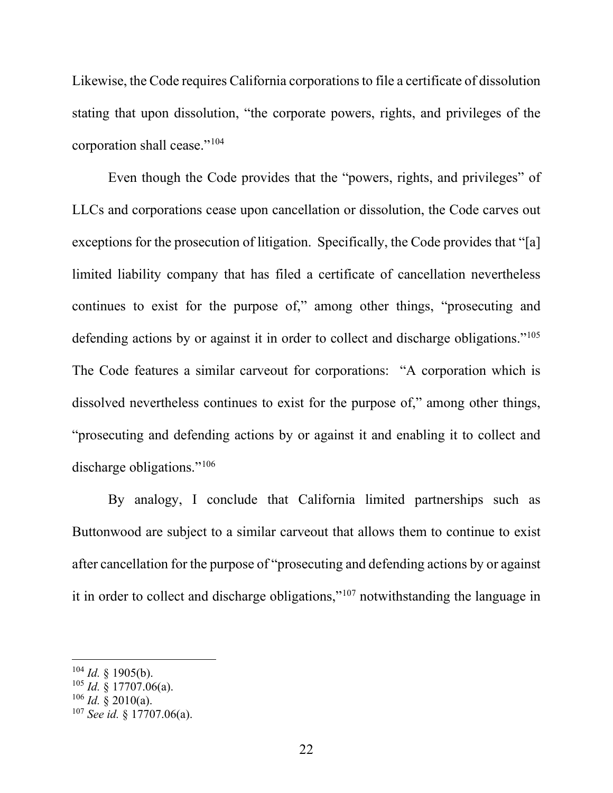Likewise, the Code requires California corporations to file a certificate of dissolution stating that upon dissolution, "the corporate powers, rights, and privileges of the corporation shall cease."104

Even though the Code provides that the "powers, rights, and privileges" of LLCs and corporations cease upon cancellation or dissolution, the Code carves out exceptions for the prosecution of litigation. Specifically, the Code provides that "[a] limited liability company that has filed a certificate of cancellation nevertheless continues to exist for the purpose of," among other things, "prosecuting and defending actions by or against it in order to collect and discharge obligations."<sup>105</sup> The Code features a similar carveout for corporations: "A corporation which is dissolved nevertheless continues to exist for the purpose of," among other things, "prosecuting and defending actions by or against it and enabling it to collect and discharge obligations."<sup>106</sup>

By analogy, I conclude that California limited partnerships such as Buttonwood are subject to a similar carveout that allows them to continue to exist after cancellation for the purpose of "prosecuting and defending actions by or against it in order to collect and discharge obligations,"107 notwithstanding the language in

 $104$  *Id.* § 1905(b).

 $105$  *Id.* § 17707.06(a).

 $106$  *Id.* § 2010(a).

<sup>107</sup> *See id.* § 17707.06(a).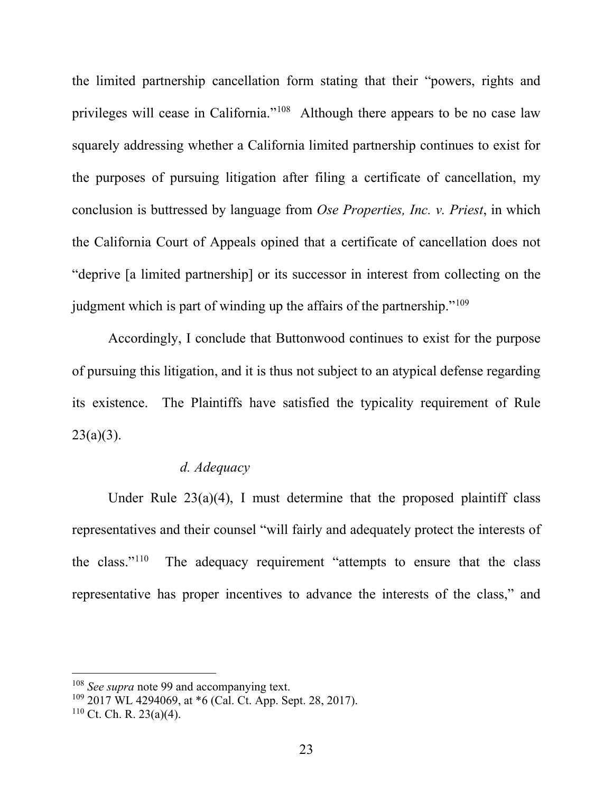the limited partnership cancellation form stating that their "powers, rights and privileges will cease in California."108 Although there appears to be no case law squarely addressing whether a California limited partnership continues to exist for the purposes of pursuing litigation after filing a certificate of cancellation, my conclusion is buttressed by language from *Ose Properties, Inc. v. Priest*, in which the California Court of Appeals opined that a certificate of cancellation does not "deprive [a limited partnership] or its successor in interest from collecting on the judgment which is part of winding up the affairs of the partnership."<sup>109</sup>

Accordingly, I conclude that Buttonwood continues to exist for the purpose of pursuing this litigation, and it is thus not subject to an atypical defense regarding its existence. The Plaintiffs have satisfied the typicality requirement of Rule  $23(a)(3)$ .

# *d. Adequacy*

Under Rule  $23(a)(4)$ , I must determine that the proposed plaintiff class representatives and their counsel "will fairly and adequately protect the interests of the class." $110$  The adequacy requirement "attempts to ensure that the class" representative has proper incentives to advance the interests of the class," and

<sup>108</sup> *See supra* note 99 and accompanying text.

<sup>109</sup> 2017 WL 4294069, at \*6 (Cal. Ct. App. Sept. 28, 2017).

 $110$  Ct. Ch. R. 23(a)(4).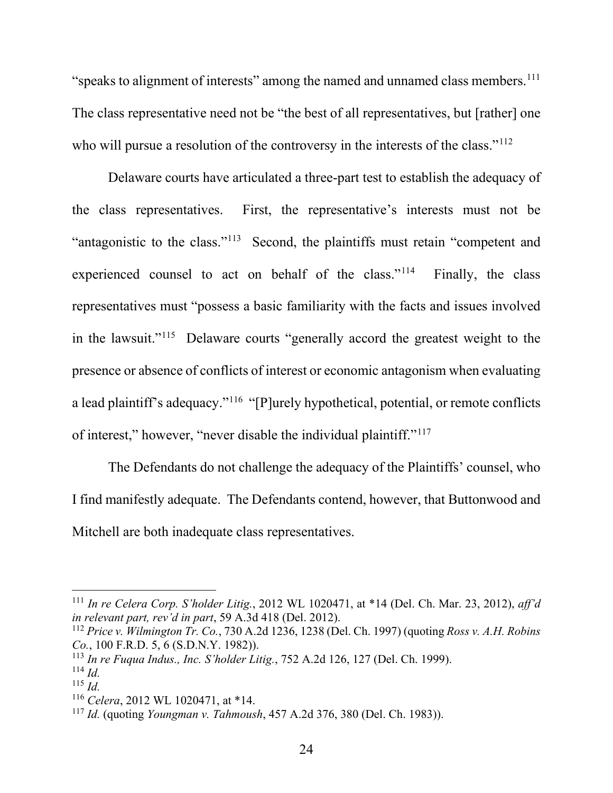"speaks to alignment of interests" among the named and unnamed class members.<sup>111</sup> The class representative need not be "the best of all representatives, but [rather] one who will pursue a resolution of the controversy in the interests of the class."<sup>112</sup>

Delaware courts have articulated a three-part test to establish the adequacy of the class representatives. First, the representative's interests must not be "antagonistic to the class."113 Second, the plaintiffs must retain "competent and experienced counsel to act on behalf of the class."<sup>114</sup> Finally, the class representatives must "possess a basic familiarity with the facts and issues involved in the lawsuit."115 Delaware courts "generally accord the greatest weight to the presence or absence of conflicts of interest or economic antagonism when evaluating a lead plaintiff's adequacy."116 "[P]urely hypothetical, potential, or remote conflicts of interest," however, "never disable the individual plaintiff."117

The Defendants do not challenge the adequacy of the Plaintiffs' counsel, who I find manifestly adequate. The Defendants contend, however, that Buttonwood and Mitchell are both inadequate class representatives.

<sup>111</sup> *In re Celera Corp. S'holder Litig.*, 2012 WL 1020471, at \*14 (Del. Ch. Mar. 23, 2012), *aff'd in relevant part, rev'd in part*, 59 A.3d 418 (Del. 2012).

<sup>112</sup> *Price v. Wilmington Tr. Co.*, 730 A.2d 1236, 1238 (Del. Ch. 1997) (quoting *Ross v. A.H. Robins Co.*, 100 F.R.D. 5, 6 (S.D.N.Y. 1982)).

<sup>113</sup> *In re Fuqua Indus., Inc. S'holder Litig.*, 752 A.2d 126, 127 (Del. Ch. 1999).

<sup>114</sup> *Id.*

<sup>115</sup> *Id.*

<sup>116</sup> *Celera*, 2012 WL 1020471, at \*14.

<sup>117</sup> *Id.* (quoting *Youngman v. Tahmoush*, 457 A.2d 376, 380 (Del. Ch. 1983)).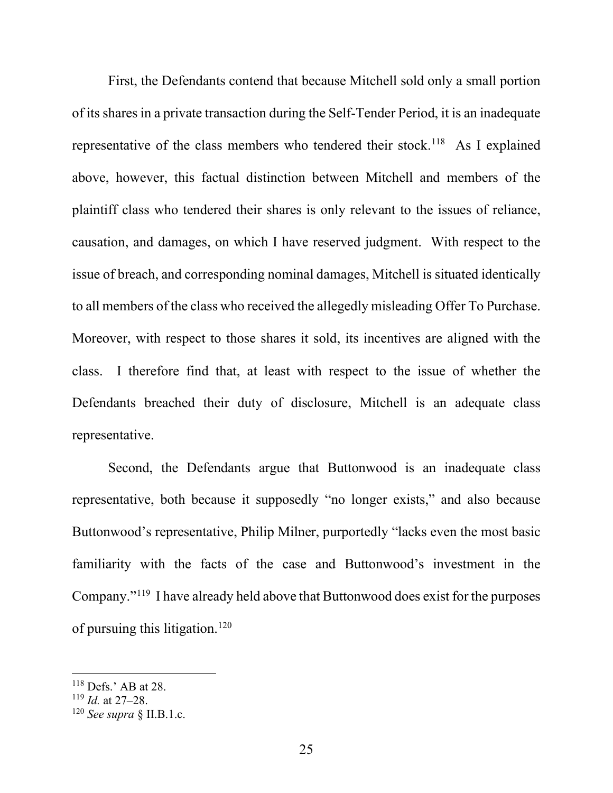First, the Defendants contend that because Mitchell sold only a small portion of its shares in a private transaction during the Self-Tender Period, it is an inadequate representative of the class members who tendered their stock.<sup>118</sup> As I explained above, however, this factual distinction between Mitchell and members of the plaintiff class who tendered their shares is only relevant to the issues of reliance, causation, and damages, on which I have reserved judgment. With respect to the issue of breach, and corresponding nominal damages, Mitchell is situated identically to all members of the class who received the allegedly misleading Offer To Purchase. Moreover, with respect to those shares it sold, its incentives are aligned with the class. I therefore find that, at least with respect to the issue of whether the Defendants breached their duty of disclosure, Mitchell is an adequate class representative.

Second, the Defendants argue that Buttonwood is an inadequate class representative, both because it supposedly "no longer exists," and also because Buttonwood's representative, Philip Milner, purportedly "lacks even the most basic familiarity with the facts of the case and Buttonwood's investment in the Company."119 I have already held above that Buttonwood does exist for the purposes of pursuing this litigation.120

<sup>118</sup> Defs.' AB at 28.

<sup>119</sup> *Id.* at 27–28.

<sup>120</sup> *See supra* § II.B.1.c.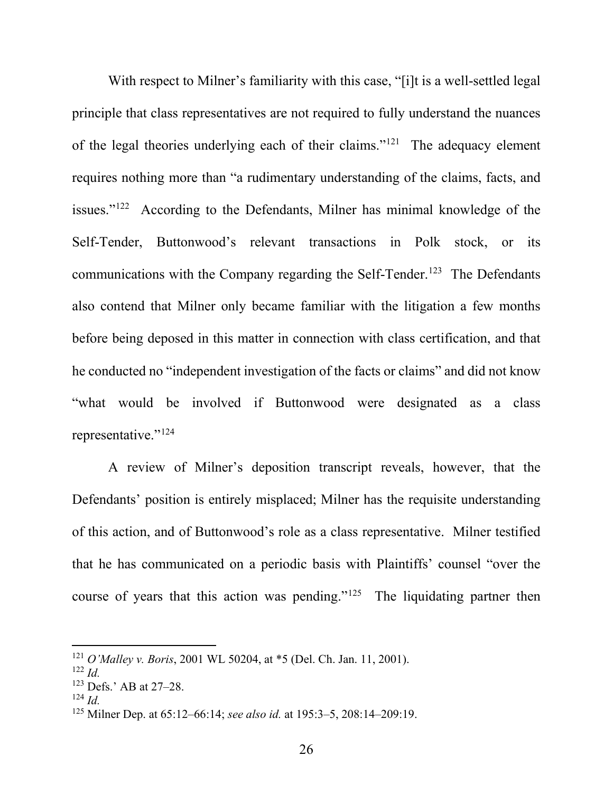With respect to Milner's familiarity with this case, "[i]t is a well-settled legal principle that class representatives are not required to fully understand the nuances of the legal theories underlying each of their claims."121 The adequacy element requires nothing more than "a rudimentary understanding of the claims, facts, and issues."122 According to the Defendants, Milner has minimal knowledge of the Self-Tender, Buttonwood's relevant transactions in Polk stock, or its communications with the Company regarding the Self-Tender.<sup>123</sup> The Defendants also contend that Milner only became familiar with the litigation a few months before being deposed in this matter in connection with class certification, and that he conducted no "independent investigation of the facts or claims" and did not know "what would be involved if Buttonwood were designated as a class representative."124

A review of Milner's deposition transcript reveals, however, that the Defendants' position is entirely misplaced; Milner has the requisite understanding of this action, and of Buttonwood's role as a class representative. Milner testified that he has communicated on a periodic basis with Plaintiffs' counsel "over the course of years that this action was pending."<sup>125</sup> The liquidating partner then

<sup>121</sup> *O'Malley v. Boris*, 2001 WL 50204, at \*5 (Del. Ch. Jan. 11, 2001).

<sup>122</sup> *Id.*

 $123$  Defs.' AB at 27–28.

<sup>124</sup> *Id.*

<sup>125</sup> Milner Dep. at 65:12–66:14; *see also id.* at 195:3–5, 208:14–209:19.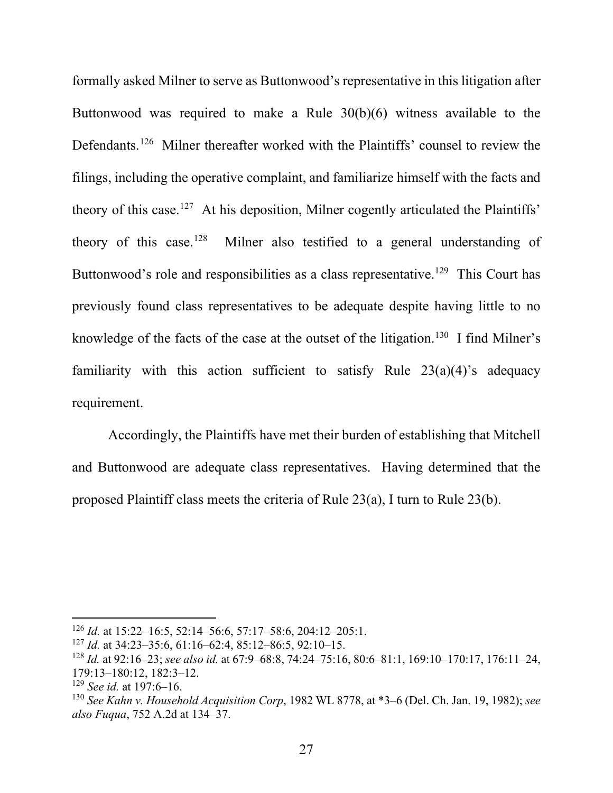formally asked Milner to serve as Buttonwood's representative in this litigation after Buttonwood was required to make a Rule 30(b)(6) witness available to the Defendants.<sup>126</sup> Milner thereafter worked with the Plaintiffs' counsel to review the filings, including the operative complaint, and familiarize himself with the facts and theory of this case.<sup>127</sup> At his deposition, Milner cogently articulated the Plaintiffs' theory of this case.<sup>128</sup> Milner also testified to a general understanding of Buttonwood's role and responsibilities as a class representative.<sup>129</sup> This Court has previously found class representatives to be adequate despite having little to no knowledge of the facts of the case at the outset of the litigation.<sup>130</sup> I find Milner's familiarity with this action sufficient to satisfy Rule  $23(a)(4)$ 's adequacy requirement.

Accordingly, the Plaintiffs have met their burden of establishing that Mitchell and Buttonwood are adequate class representatives. Having determined that the proposed Plaintiff class meets the criteria of Rule 23(a), I turn to Rule 23(b).

<sup>126</sup> *Id.* at 15:22–16:5, 52:14–56:6, 57:17–58:6, 204:12–205:1.

<sup>127</sup> *Id.* at 34:23–35:6, 61:16–62:4, 85:12–86:5, 92:10–15.

<sup>128</sup> *Id.* at 92:16–23; *see also id.* at 67:9–68:8, 74:24–75:16, 80:6–81:1, 169:10–170:17, 176:11–24, 179:13–180:12, 182:3–12.

<sup>129</sup> *See id.* at 197:6–16.

<sup>130</sup> *See Kahn v. Household Acquisition Corp*, 1982 WL 8778, at \*3–6 (Del. Ch. Jan. 19, 1982); *see also Fuqua*, 752 A.2d at 134–37.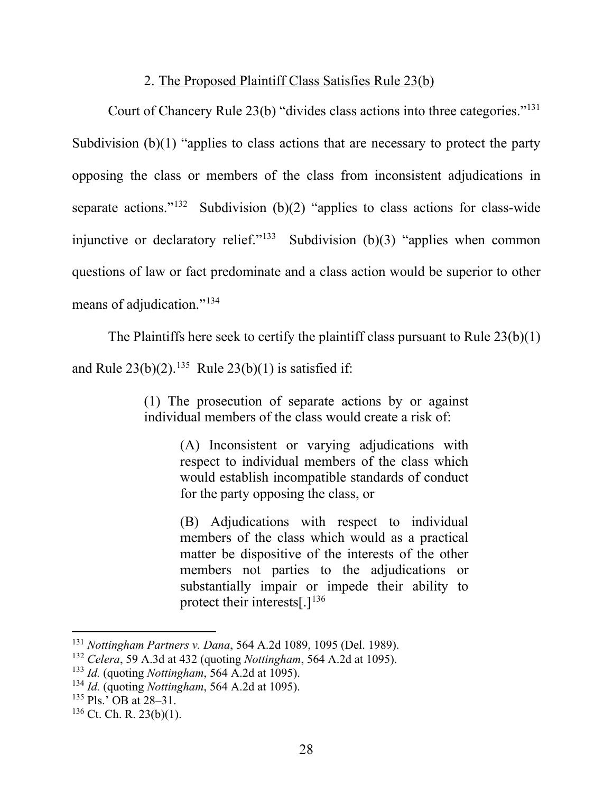## 2. The Proposed Plaintiff Class Satisfies Rule 23(b)

Court of Chancery Rule 23(b) "divides class actions into three categories."131 Subdivision (b)(1) "applies to class actions that are necessary to protect the party opposing the class or members of the class from inconsistent adjudications in separate actions."<sup>132</sup> Subdivision (b)(2) "applies to class actions for class-wide injunctive or declaratory relief."<sup>133</sup> Subdivision (b)(3) "applies when common questions of law or fact predominate and a class action would be superior to other means of adjudication."134

The Plaintiffs here seek to certify the plaintiff class pursuant to Rule 23(b)(1)

and Rule  $23(b)(2)$ .<sup>135</sup> Rule  $23(b)(1)$  is satisfied if:

(1) The prosecution of separate actions by or against individual members of the class would create a risk of:

> (A) Inconsistent or varying adjudications with respect to individual members of the class which would establish incompatible standards of conduct for the party opposing the class, or

> (B) Adjudications with respect to individual members of the class which would as a practical matter be dispositive of the interests of the other members not parties to the adjudications or substantially impair or impede their ability to protect their interests[.] $136$

<sup>131</sup> *Nottingham Partners v. Dana*, 564 A.2d 1089, 1095 (Del. 1989).

<sup>132</sup> *Celera*, 59 A.3d at 432 (quoting *Nottingham*, 564 A.2d at 1095).

<sup>133</sup> *Id.* (quoting *Nottingham*, 564 A.2d at 1095).

<sup>134</sup> *Id.* (quoting *Nottingham*, 564 A.2d at 1095).

<sup>135</sup> Pls.' OB at 28–31.

 $136$  Ct. Ch. R. 23(b)(1).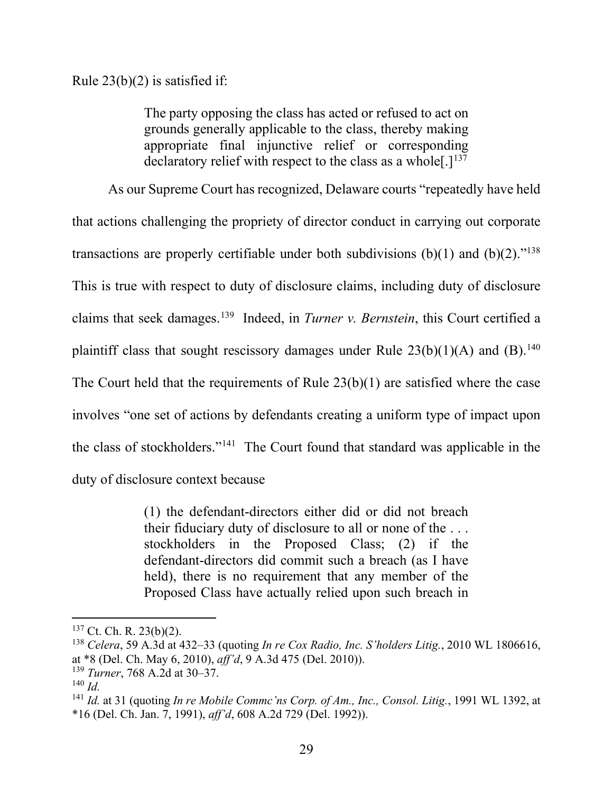Rule  $23(b)(2)$  is satisfied if:

The party opposing the class has acted or refused to act on grounds generally applicable to the class, thereby making appropriate final injunctive relief or corresponding declaratory relief with respect to the class as a whole  $[.]^{137}$ 

As our Supreme Court has recognized, Delaware courts "repeatedly have held that actions challenging the propriety of director conduct in carrying out corporate transactions are properly certifiable under both subdivisions  $(b)(1)$  and  $(b)(2)$ ."<sup>138</sup> This is true with respect to duty of disclosure claims, including duty of disclosure claims that seek damages.139 Indeed, in *Turner v. Bernstein*, this Court certified a plaintiff class that sought rescissory damages under Rule  $23(b)(1)(A)$  and (B).<sup>140</sup> The Court held that the requirements of Rule 23(b)(1) are satisfied where the case involves "one set of actions by defendants creating a uniform type of impact upon the class of stockholders."141 The Court found that standard was applicable in the duty of disclosure context because

> (1) the defendant-directors either did or did not breach their fiduciary duty of disclosure to all or none of the . . . stockholders in the Proposed Class; (2) if the defendant-directors did commit such a breach (as I have held), there is no requirement that any member of the Proposed Class have actually relied upon such breach in

 $137$  Ct. Ch. R. 23(b)(2).

<sup>138</sup> *Celera*, 59 A.3d at 432–33 (quoting *In re Cox Radio, Inc. S'holders Litig.*, 2010 WL 1806616, at \*8 (Del. Ch. May 6, 2010), *aff'd*, 9 A.3d 475 (Del. 2010)).

<sup>139</sup> *Turner*, 768 A.2d at 30–37.

<sup>140</sup> *Id.*

<sup>141</sup> *Id.* at 31 (quoting *In re Mobile Commc'ns Corp. of Am., Inc., Consol. Litig.*, 1991 WL 1392, at \*16 (Del. Ch. Jan. 7, 1991), *aff'd*, 608 A.2d 729 (Del. 1992)).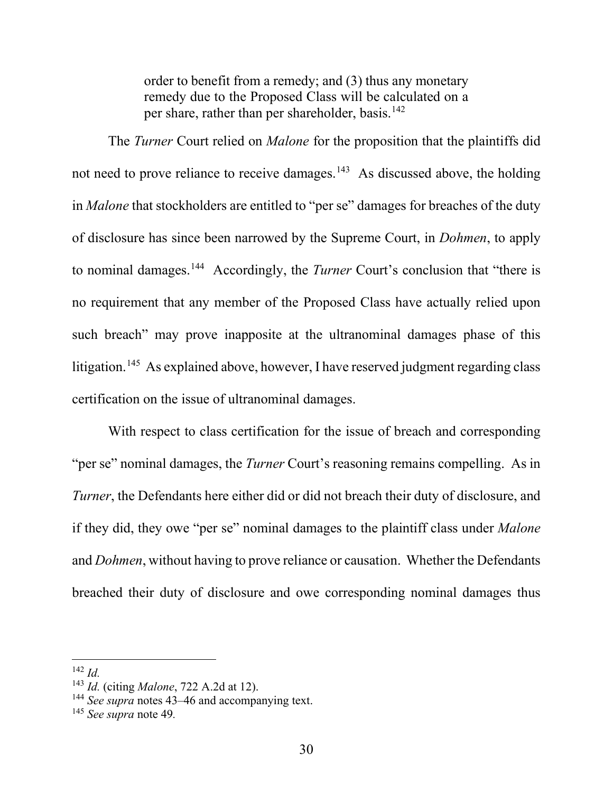order to benefit from a remedy; and (3) thus any monetary remedy due to the Proposed Class will be calculated on a per share, rather than per shareholder, basis.<sup>142</sup>

The *Turner* Court relied on *Malone* for the proposition that the plaintiffs did not need to prove reliance to receive damages.<sup>143</sup> As discussed above, the holding in *Malone* that stockholders are entitled to "per se" damages for breaches of the duty of disclosure has since been narrowed by the Supreme Court, in *Dohmen*, to apply to nominal damages.144 Accordingly, the *Turner* Court's conclusion that "there is no requirement that any member of the Proposed Class have actually relied upon such breach" may prove inapposite at the ultranominal damages phase of this litigation.145 As explained above, however, I have reserved judgment regarding class certification on the issue of ultranominal damages.

With respect to class certification for the issue of breach and corresponding "per se" nominal damages, the *Turner* Court's reasoning remains compelling. As in *Turner*, the Defendants here either did or did not breach their duty of disclosure, and if they did, they owe "per se" nominal damages to the plaintiff class under *Malone* and *Dohmen*, without having to prove reliance or causation. Whether the Defendants breached their duty of disclosure and owe corresponding nominal damages thus

<sup>142</sup> *Id.*

<sup>143</sup> *Id.* (citing *Malone*, 722 A.2d at 12).

<sup>144</sup> *See supra* notes 43–46 and accompanying text.

<sup>145</sup> *See supra* note 49*.*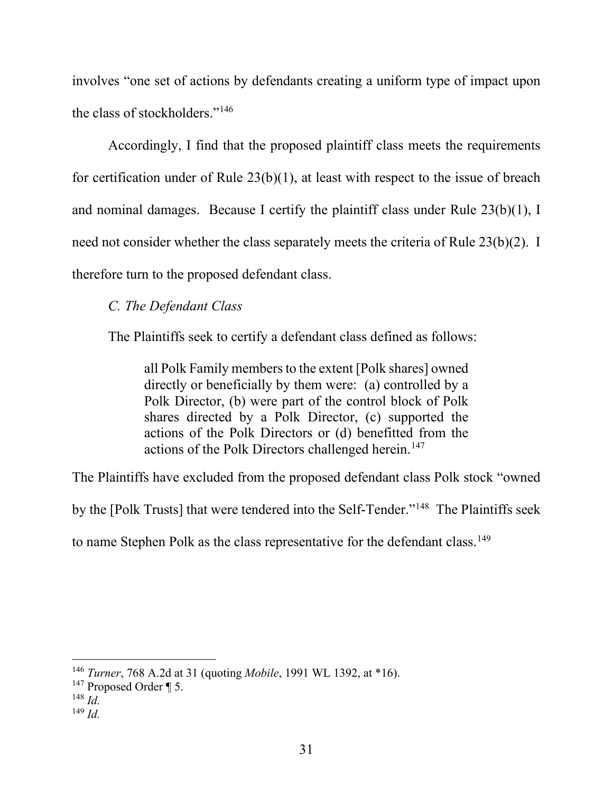involves "one set of actions by defendants creating a uniform type of impact upon the class of stockholders."146

Accordingly, I find that the proposed plaintiff class meets the requirements for certification under of Rule 23(b)(1), at least with respect to the issue of breach and nominal damages. Because I certify the plaintiff class under Rule 23(b)(1), I need not consider whether the class separately meets the criteria of Rule 23(b)(2). I therefore turn to the proposed defendant class.

# *C. The Defendant Class*

The Plaintiffs seek to certify a defendant class defined as follows:

all Polk Family members to the extent [Polk shares] owned directly or beneficially by them were: (a) controlled by a Polk Director, (b) were part of the control block of Polk shares directed by a Polk Director, (c) supported the actions of the Polk Directors or (d) benefitted from the actions of the Polk Directors challenged herein.<sup>147</sup>

The Plaintiffs have excluded from the proposed defendant class Polk stock "owned

by the [Polk Trusts] that were tendered into the Self-Tender."148 The Plaintiffs seek

to name Stephen Polk as the class representative for the defendant class.<sup>149</sup>

<sup>146</sup> *Turner*, 768 A.2d at 31 (quoting *Mobile*, 1991 WL 1392, at \*16).

 $147$  Proposed Order ¶ 5.

<sup>148</sup> *Id.*

<sup>149</sup> *Id.*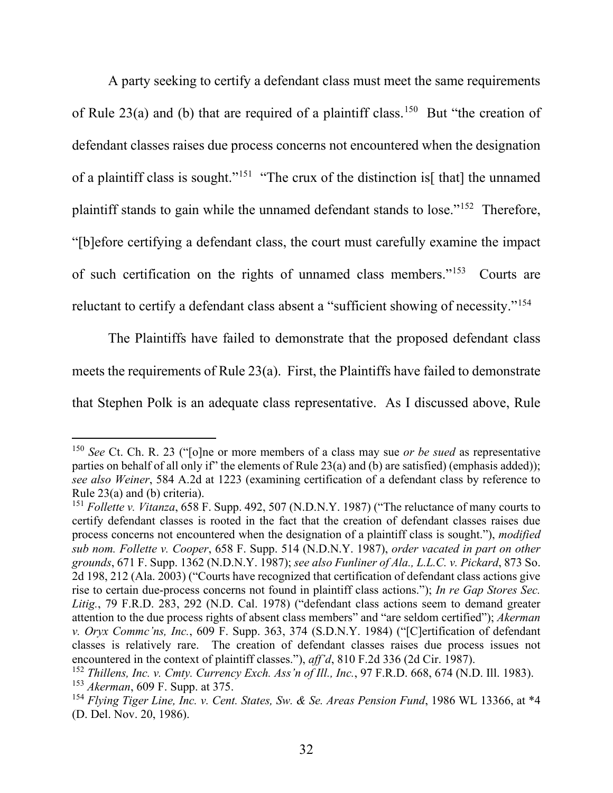A party seeking to certify a defendant class must meet the same requirements of Rule 23(a) and (b) that are required of a plaintiff class.<sup>150</sup> But "the creation of defendant classes raises due process concerns not encountered when the designation of a plaintiff class is sought."<sup>151</sup> "The crux of the distinction is<sup>[that]</sup> the unnamed plaintiff stands to gain while the unnamed defendant stands to lose."152 Therefore, "[b]efore certifying a defendant class, the court must carefully examine the impact of such certification on the rights of unnamed class members."153 Courts are reluctant to certify a defendant class absent a "sufficient showing of necessity."154

The Plaintiffs have failed to demonstrate that the proposed defendant class meets the requirements of Rule 23(a). First, the Plaintiffs have failed to demonstrate that Stephen Polk is an adequate class representative. As I discussed above, Rule

<sup>150</sup> *See* Ct. Ch. R. 23 ("[o]ne or more members of a class may sue *or be sued* as representative parties on behalf of all only if" the elements of Rule 23(a) and (b) are satisfied) (emphasis added)); *see also Weiner*, 584 A.2d at 1223 (examining certification of a defendant class by reference to Rule 23(a) and (b) criteria).

<sup>&</sup>lt;sup>151</sup> Follette v. Vitanza, 658 F. Supp. 492, 507 (N.D.N.Y. 1987) ("The reluctance of many courts to certify defendant classes is rooted in the fact that the creation of defendant classes raises due process concerns not encountered when the designation of a plaintiff class is sought."), *modified sub nom. Follette v. Cooper*, 658 F. Supp. 514 (N.D.N.Y. 1987), *order vacated in part on other grounds*, 671 F. Supp. 1362 (N.D.N.Y. 1987); *see also Funliner of Ala., L.L.C. v. Pickard*, 873 So. 2d 198, 212 (Ala. 2003) ("Courts have recognized that certification of defendant class actions give rise to certain due-process concerns not found in plaintiff class actions."); *In re Gap Stores Sec. Litig.*, 79 F.R.D. 283, 292 (N.D. Cal. 1978) ("defendant class actions seem to demand greater attention to the due process rights of absent class members" and "are seldom certified"); *Akerman v. Oryx Commc'ns, Inc.*, 609 F. Supp. 363, 374 (S.D.N.Y. 1984) ("[C]ertification of defendant classes is relatively rare. The creation of defendant classes raises due process issues not encountered in the context of plaintiff classes."), *aff'd*, 810 F.2d 336 (2d Cir. 1987).

<sup>152</sup> *Thillens, Inc. v. Cmty. Currency Exch. Ass'n of Ill., Inc.*, 97 F.R.D. 668, 674 (N.D. Ill. 1983). <sup>153</sup> *Akerman*, 609 F. Supp. at 375.

<sup>154</sup> *Flying Tiger Line, Inc. v. Cent. States, Sw. & Se. Areas Pension Fund*, 1986 WL 13366, at \*4 (D. Del. Nov. 20, 1986).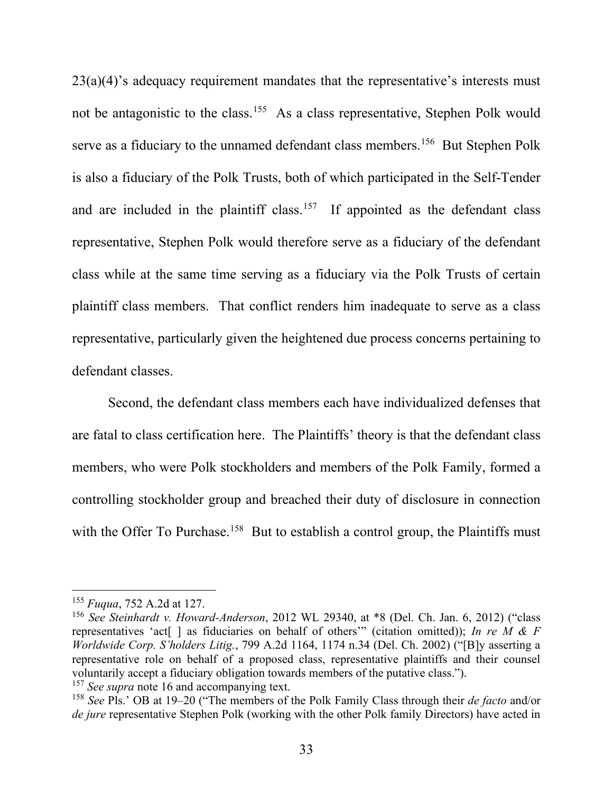$23(a)(4)$ 's adequacy requirement mandates that the representative's interests must not be antagonistic to the class.<sup>155</sup> As a class representative, Stephen Polk would serve as a fiduciary to the unnamed defendant class members.<sup>156</sup> But Stephen Polk is also a fiduciary of the Polk Trusts, both of which participated in the Self-Tender and are included in the plaintiff class.<sup>157</sup> If appointed as the defendant class representative, Stephen Polk would therefore serve as a fiduciary of the defendant class while at the same time serving as a fiduciary via the Polk Trusts of certain plaintiff class members. That conflict renders him inadequate to serve as a class representative, particularly given the heightened due process concerns pertaining to defendant classes.

Second, the defendant class members each have individualized defenses that are fatal to class certification here. The Plaintiffs' theory is that the defendant class members, who were Polk stockholders and members of the Polk Family, formed a controlling stockholder group and breached their duty of disclosure in connection with the Offer To Purchase.<sup>158</sup> But to establish a control group, the Plaintiffs must

<sup>157</sup> *See supra* note 16 and accompanying text.

<sup>155</sup> *Fuqua*, 752 A.2d at 127.

<sup>156</sup> *See Steinhardt v. Howard-Anderson*, 2012 WL 29340, at \*8 (Del. Ch. Jan. 6, 2012) ("class representatives 'act[ ] as fiduciaries on behalf of others'" (citation omitted)); *In re M & F Worldwide Corp. S'holders Litig.*, 799 A.2d 1164, 1174 n.34 (Del. Ch. 2002) ("[B]y asserting a representative role on behalf of a proposed class, representative plaintiffs and their counsel voluntarily accept a fiduciary obligation towards members of the putative class.").

<sup>158</sup> *See* Pls.' OB at 19–20 ("The members of the Polk Family Class through their *de facto* and/or *de jure* representative Stephen Polk (working with the other Polk family Directors) have acted in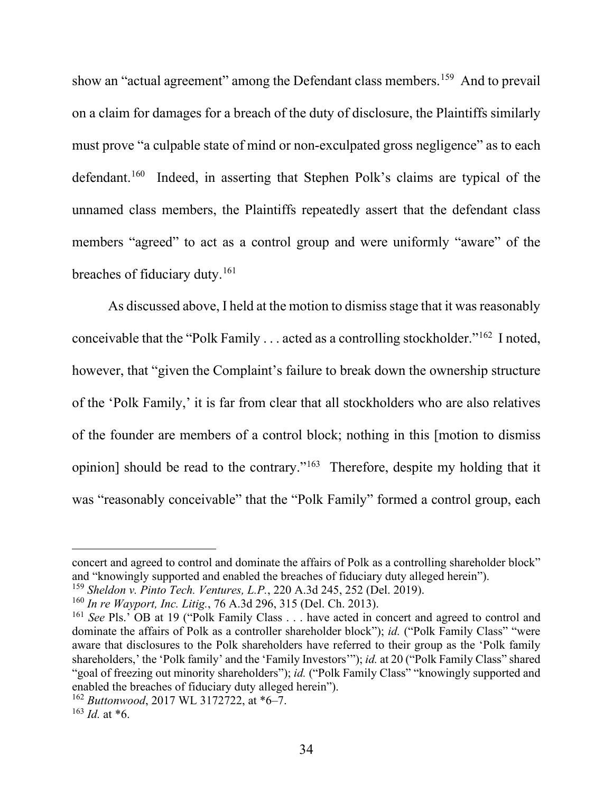show an "actual agreement" among the Defendant class members.<sup>159</sup> And to prevail on a claim for damages for a breach of the duty of disclosure, the Plaintiffs similarly must prove "a culpable state of mind or non-exculpated gross negligence" as to each defendant.160 Indeed, in asserting that Stephen Polk's claims are typical of the unnamed class members, the Plaintiffs repeatedly assert that the defendant class members "agreed" to act as a control group and were uniformly "aware" of the breaches of fiduciary duty.<sup>161</sup>

As discussed above, I held at the motion to dismiss stage that it was reasonably conceivable that the "Polk Family  $\dots$  acted as a controlling stockholder."<sup>162</sup> I noted, however, that "given the Complaint's failure to break down the ownership structure of the 'Polk Family,' it is far from clear that all stockholders who are also relatives of the founder are members of a control block; nothing in this [motion to dismiss opinion] should be read to the contrary."163 Therefore, despite my holding that it was "reasonably conceivable" that the "Polk Family" formed a control group, each

concert and agreed to control and dominate the affairs of Polk as a controlling shareholder block" and "knowingly supported and enabled the breaches of fiduciary duty alleged herein").

<sup>159</sup> *Sheldon v. Pinto Tech. Ventures, L.P.*, 220 A.3d 245, 252 (Del. 2019).

<sup>160</sup> *In re Wayport, Inc. Litig.*, 76 A.3d 296, 315 (Del. Ch. 2013).

<sup>161</sup> *See* Pls.' OB at 19 ("Polk Family Class . . . have acted in concert and agreed to control and dominate the affairs of Polk as a controller shareholder block"); *id.* ("Polk Family Class" "were aware that disclosures to the Polk shareholders have referred to their group as the 'Polk family shareholders,' the 'Polk family' and the 'Family Investors'"); *id.* at 20 ("Polk Family Class" shared "goal of freezing out minority shareholders"); *id.* ("Polk Family Class" "knowingly supported and enabled the breaches of fiduciary duty alleged herein").

<sup>162</sup> *Buttonwood*, 2017 WL 3172722, at \*6–7.

 $163$  *Id.* at \*6.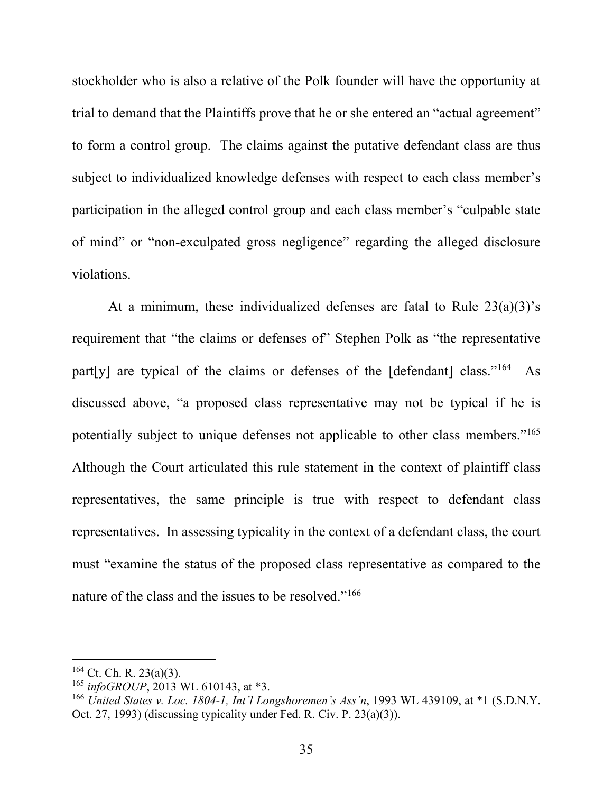stockholder who is also a relative of the Polk founder will have the opportunity at trial to demand that the Plaintiffs prove that he or she entered an "actual agreement" to form a control group. The claims against the putative defendant class are thus subject to individualized knowledge defenses with respect to each class member's participation in the alleged control group and each class member's "culpable state of mind" or "non-exculpated gross negligence" regarding the alleged disclosure violations.

At a minimum, these individualized defenses are fatal to Rule  $23(a)(3)$ 's requirement that "the claims or defenses of" Stephen Polk as "the representative part[y] are typical of the claims or defenses of the  $[defendant]$  class."<sup>164</sup> As discussed above, "a proposed class representative may not be typical if he is potentially subject to unique defenses not applicable to other class members."165 Although the Court articulated this rule statement in the context of plaintiff class representatives, the same principle is true with respect to defendant class representatives. In assessing typicality in the context of a defendant class, the court must "examine the status of the proposed class representative as compared to the nature of the class and the issues to be resolved."<sup>166</sup>

 $164$  Ct. Ch. R. 23(a)(3).

<sup>165</sup> *infoGROUP*, 2013 WL 610143, at \*3.

<sup>166</sup> *United States v. Loc. 1804-1, Int'l Longshoremen's Ass'n*, 1993 WL 439109, at \*1 (S.D.N.Y. Oct. 27, 1993) (discussing typicality under Fed. R. Civ. P. 23(a)(3)).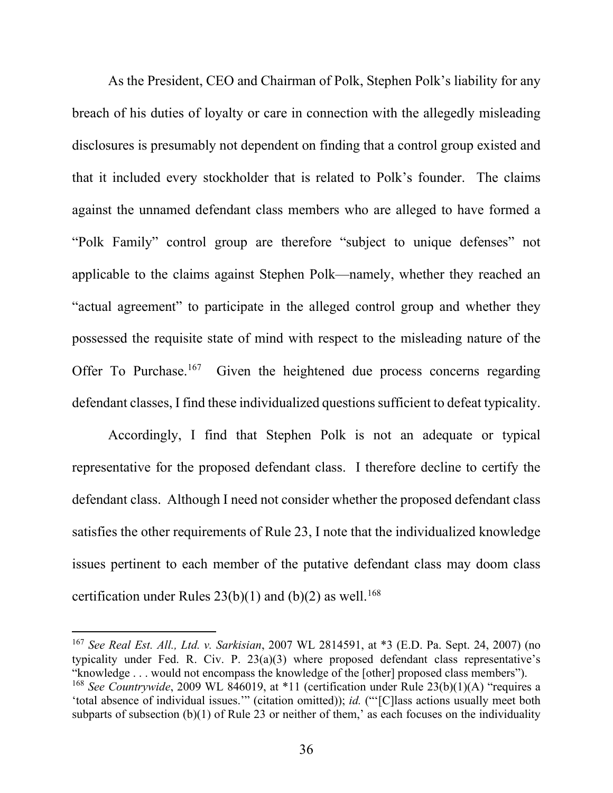As the President, CEO and Chairman of Polk, Stephen Polk's liability for any breach of his duties of loyalty or care in connection with the allegedly misleading disclosures is presumably not dependent on finding that a control group existed and that it included every stockholder that is related to Polk's founder. The claims against the unnamed defendant class members who are alleged to have formed a "Polk Family" control group are therefore "subject to unique defenses" not applicable to the claims against Stephen Polk—namely, whether they reached an "actual agreement" to participate in the alleged control group and whether they possessed the requisite state of mind with respect to the misleading nature of the Offer To Purchase.<sup>167</sup> Given the heightened due process concerns regarding defendant classes, I find these individualized questions sufficient to defeat typicality.

Accordingly, I find that Stephen Polk is not an adequate or typical representative for the proposed defendant class. I therefore decline to certify the defendant class. Although I need not consider whether the proposed defendant class satisfies the other requirements of Rule 23, I note that the individualized knowledge issues pertinent to each member of the putative defendant class may doom class certification under Rules  $23(b)(1)$  and  $(b)(2)$  as well.<sup>168</sup>

<sup>167</sup> *See Real Est. All., Ltd. v. Sarkisian*, 2007 WL 2814591, at \*3 (E.D. Pa. Sept. 24, 2007) (no typicality under Fed. R. Civ. P. 23(a)(3) where proposed defendant class representative's "knowledge . . . would not encompass the knowledge of the [other] proposed class members"). <sup>168</sup> See Countrywide, 2009 WL 846019, at \*11 (certification under Rule 23(b)(1)(A) "requires a 'total absence of individual issues.'" (citation omitted)); *id.* ("'[C]lass actions usually meet both subparts of subsection (b)(1) of Rule 23 or neither of them,' as each focuses on the individuality